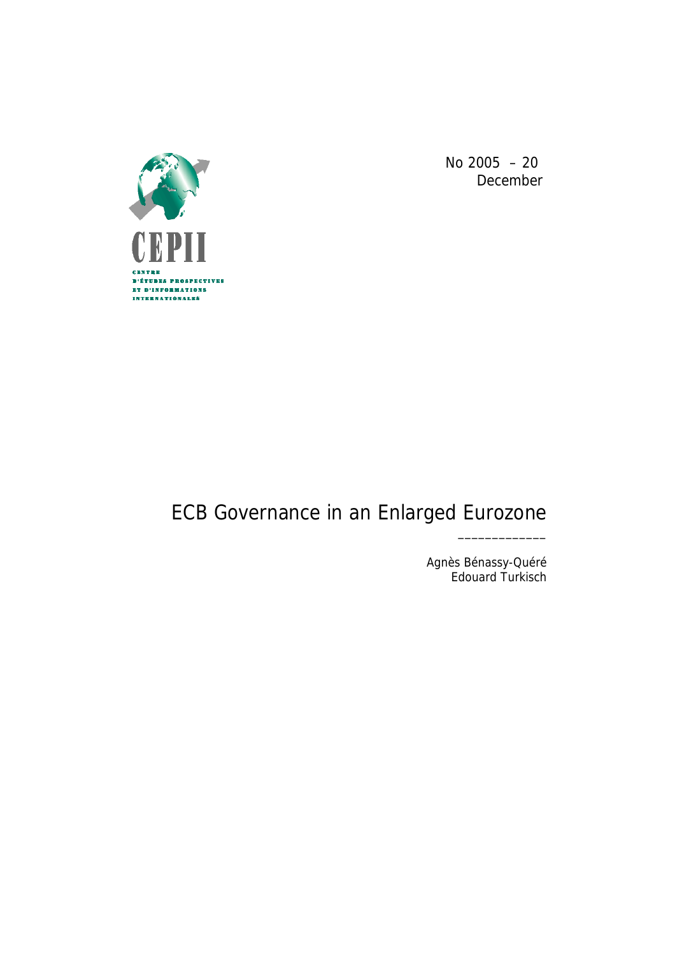

No 2005 – 20 December

# ECB Governance in an Enlarged Eurozone

Agnès Bénassy-Quéré Edouard Turkisch

\_\_\_\_\_\_\_\_\_\_\_\_\_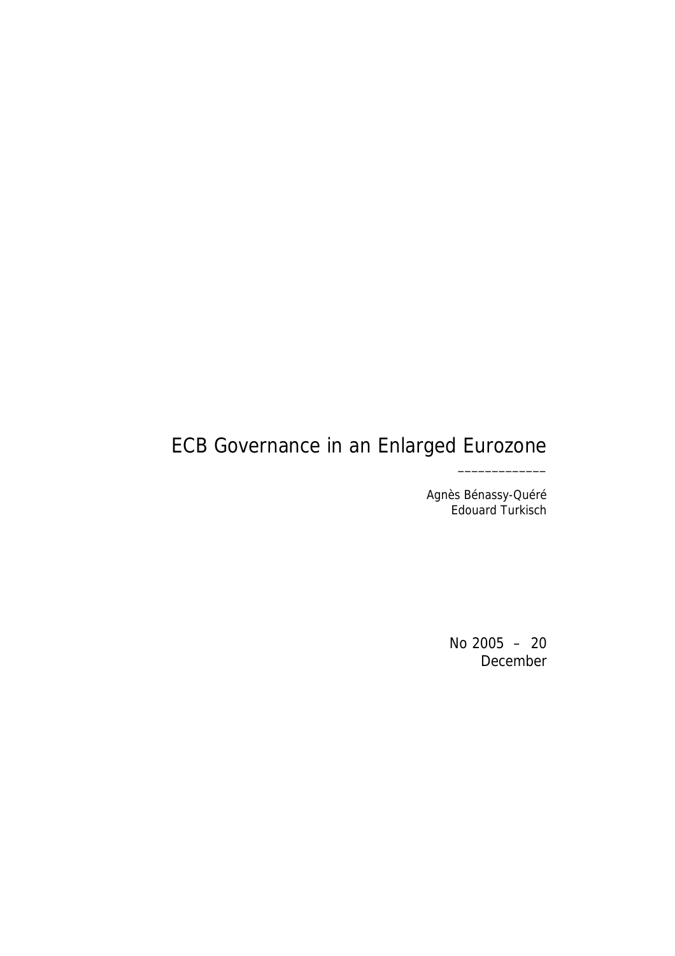# ECB Governance in an Enlarged Eurozone

Agnès Bénassy-Quéré Edouard Turkisch

\_\_\_\_\_\_\_\_\_\_\_\_\_

No 2005 – 20 December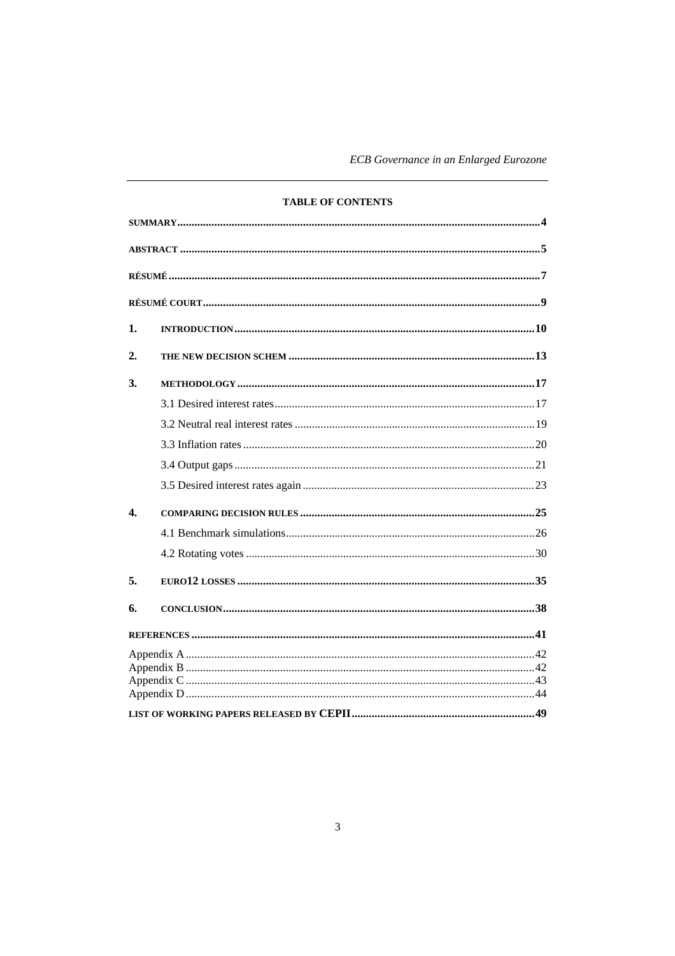ECB Governance in an Enlarged Eurozone

|              | <b>TABLE OF CONTENTS</b> |
|--------------|--------------------------|
|              |                          |
|              |                          |
|              |                          |
|              |                          |
| 1.           |                          |
| 2.           |                          |
| 3.           |                          |
|              |                          |
|              |                          |
|              |                          |
|              |                          |
|              |                          |
| $\mathbf{4}$ |                          |
|              |                          |
|              |                          |
| 5.           |                          |
| 6.           |                          |
|              |                          |
|              |                          |
|              |                          |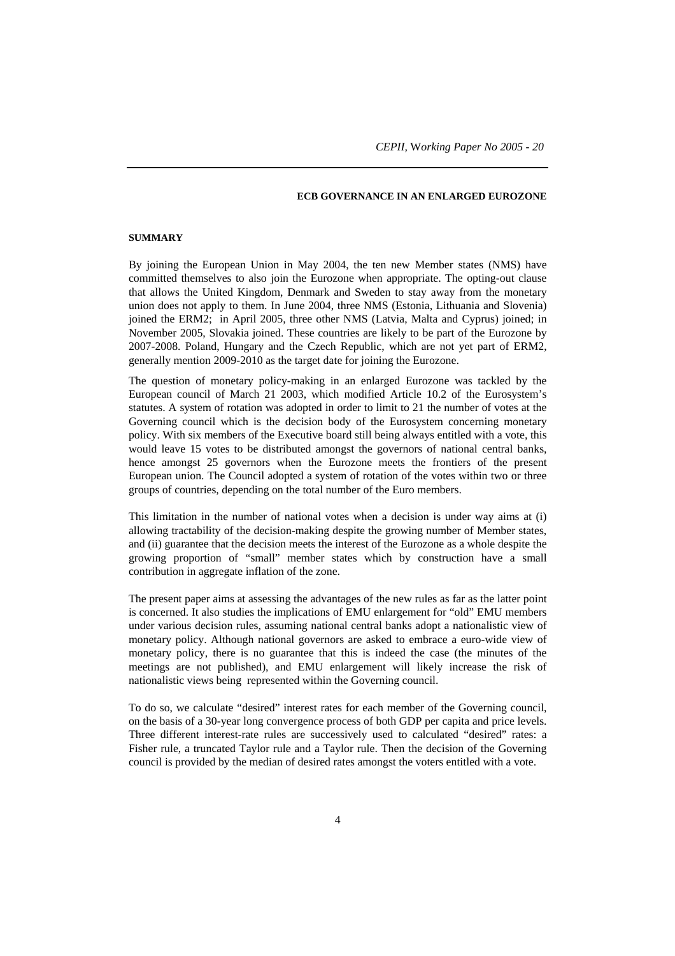# **ECB GOVERNANCE IN AN ENLARGED EUROZONE**

#### **SUMMARY**

By joining the European Union in May 2004, the ten new Member states (NMS) have committed themselves to also join the Eurozone when appropriate. The opting-out clause that allows the United Kingdom, Denmark and Sweden to stay away from the monetary union does not apply to them. In June 2004, three NMS (Estonia, Lithuania and Slovenia) joined the ERM2; in April 2005, three other NMS (Latvia, Malta and Cyprus) joined; in November 2005, Slovakia joined. These countries are likely to be part of the Eurozone by 2007-2008. Poland, Hungary and the Czech Republic, which are not yet part of ERM2, generally mention 2009-2010 as the target date for joining the Eurozone.

The question of monetary policy-making in an enlarged Eurozone was tackled by the European council of March 21 2003, which modified Article 10.2 of the Eurosystem's statutes. A system of rotation was adopted in order to limit to 21 the number of votes at the Governing council which is the decision body of the Eurosystem concerning monetary policy. With six members of the Executive board still being always entitled with a vote, this would leave 15 votes to be distributed amongst the governors of national central banks, hence amongst 25 governors when the Eurozone meets the frontiers of the present European union. The Council adopted a system of rotation of the votes within two or three groups of countries, depending on the total number of the Euro members.

This limitation in the number of national votes when a decision is under way aims at (i) allowing tractability of the decision-making despite the growing number of Member states, and (ii) guarantee that the decision meets the interest of the Eurozone as a whole despite the growing proportion of "small" member states which by construction have a small contribution in aggregate inflation of the zone.

The present paper aims at assessing the advantages of the new rules as far as the latter point is concerned. It also studies the implications of EMU enlargement for "old" EMU members under various decision rules, assuming national central banks adopt a nationalistic view of monetary policy. Although national governors are asked to embrace a euro-wide view of monetary policy, there is no guarantee that this is indeed the case (the minutes of the meetings are not published), and EMU enlargement will likely increase the risk of nationalistic views being represented within the Governing council.

To do so, we calculate "desired" interest rates for each member of the Governing council, on the basis of a 30-year long convergence process of both GDP per capita and price levels. Three different interest-rate rules are successively used to calculated "desired" rates: a Fisher rule, a truncated Taylor rule and a Taylor rule. Then the decision of the Governing council is provided by the median of desired rates amongst the voters entitled with a vote.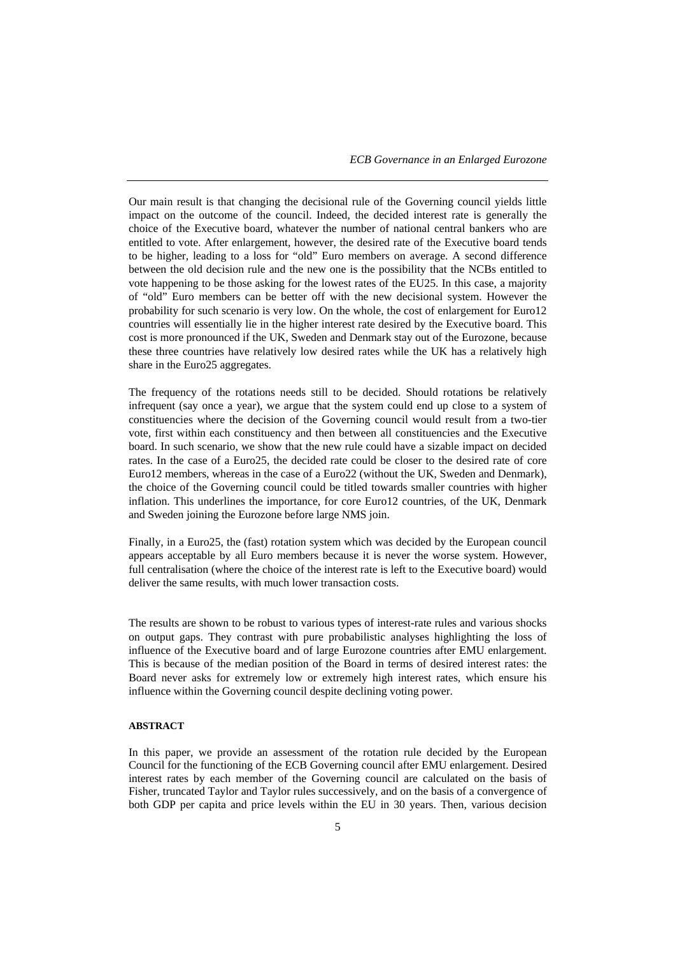*ECB Governance in an Enlarged Eurozone*

Our main result is that changing the decisional rule of the Governing council yields little impact on the outcome of the council. Indeed, the decided interest rate is generally the choice of the Executive board, whatever the number of national central bankers who are entitled to vote. After enlargement, however, the desired rate of the Executive board tends to be higher, leading to a loss for "old" Euro members on average. A second difference between the old decision rule and the new one is the possibility that the NCBs entitled to vote happening to be those asking for the lowest rates of the EU25. In this case, a majority of "old" Euro members can be better off with the new decisional system. However the probability for such scenario is very low. On the whole, the cost of enlargement for Euro12 countries will essentially lie in the higher interest rate desired by the Executive board. This cost is more pronounced if the UK, Sweden and Denmark stay out of the Eurozone, because these three countries have relatively low desired rates while the UK has a relatively high share in the Euro25 aggregates.

The frequency of the rotations needs still to be decided. Should rotations be relatively infrequent (say once a year), we argue that the system could end up close to a system of constituencies where the decision of the Governing council would result from a two-tier vote, first within each constituency and then between all constituencies and the Executive board. In such scenario, we show that the new rule could have a sizable impact on decided rates. In the case of a Euro25, the decided rate could be closer to the desired rate of core Euro12 members, whereas in the case of a Euro22 (without the UK, Sweden and Denmark), the choice of the Governing council could be titled towards smaller countries with higher inflation. This underlines the importance, for core Euro12 countries, of the UK, Denmark and Sweden joining the Eurozone before large NMS join.

Finally, in a Euro25, the (fast) rotation system which was decided by the European council appears acceptable by all Euro members because it is never the worse system. However, full centralisation (where the choice of the interest rate is left to the Executive board) would deliver the same results, with much lower transaction costs.

The results are shown to be robust to various types of interest-rate rules and various shocks on output gaps. They contrast with pure probabilistic analyses highlighting the loss of influence of the Executive board and of large Eurozone countries after EMU enlargement. This is because of the median position of the Board in terms of desired interest rates: the Board never asks for extremely low or extremely high interest rates, which ensure his influence within the Governing council despite declining voting power.

#### **ABSTRACT**

In this paper, we provide an assessment of the rotation rule decided by the European Council for the functioning of the ECB Governing council after EMU enlargement. Desired interest rates by each member of the Governing council are calculated on the basis of Fisher, truncated Taylor and Taylor rules successively, and on the basis of a convergence of both GDP per capita and price levels within the EU in 30 years. Then, various decision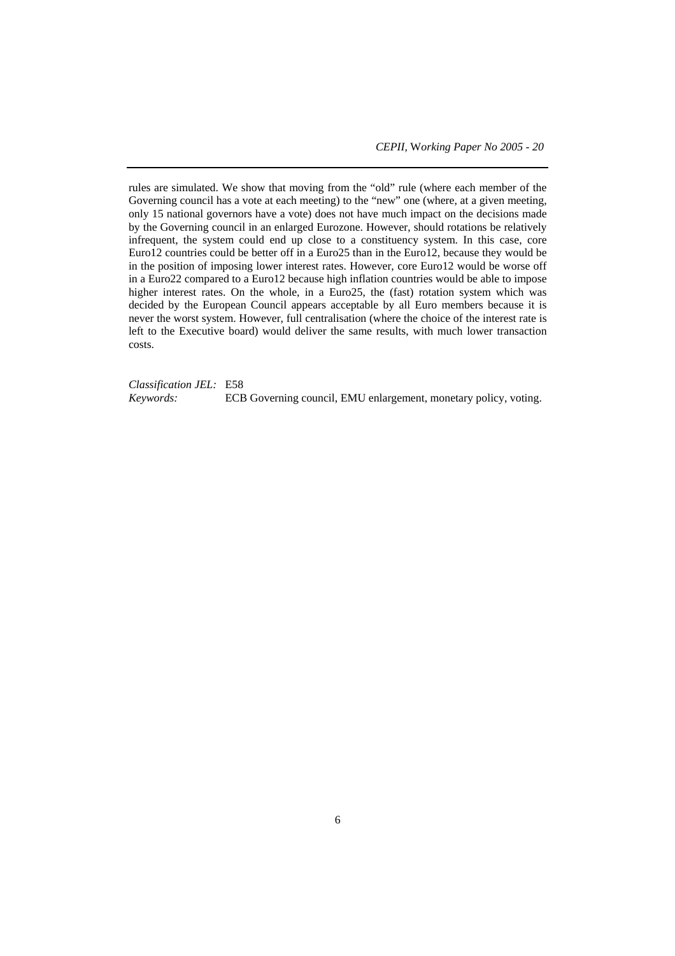rules are simulated. We show that moving from the "old" rule (where each member of the Governing council has a vote at each meeting) to the "new" one (where, at a given meeting, only 15 national governors have a vote) does not have much impact on the decisions made by the Governing council in an enlarged Eurozone. However, should rotations be relatively infrequent, the system could end up close to a constituency system. In this case, core Euro12 countries could be better off in a Euro25 than in the Euro12, because they would be in the position of imposing lower interest rates. However, core Euro12 would be worse off in a Euro22 compared to a Euro12 because high inflation countries would be able to impose higher interest rates. On the whole, in a Euro25, the (fast) rotation system which was decided by the European Council appears acceptable by all Euro members because it is never the worst system. However, full centralisation (where the choice of the interest rate is left to the Executive board) would deliver the same results, with much lower transaction costs.

*Classification JEL:* E58 *Keywords:* ECB Governing council, EMU enlargement, monetary policy, voting.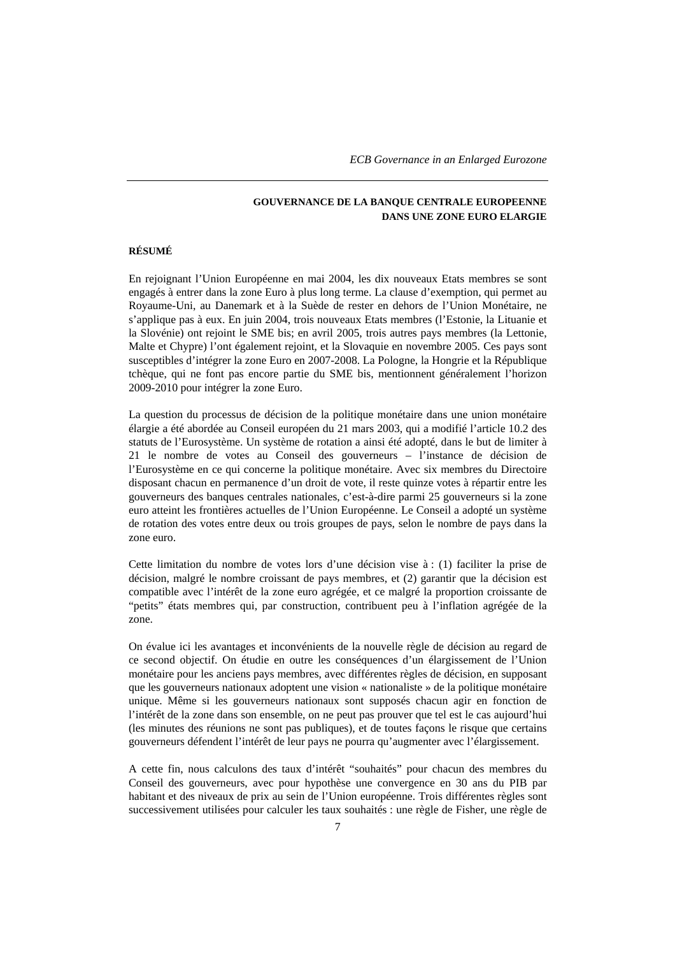# **GOUVERNANCE DE LA BANQUE CENTRALE EUROPEENNE DANS UNE ZONE EURO ELARGIE**

#### **RÉSUMÉ**

En rejoignant l'Union Européenne en mai 2004, les dix nouveaux Etats membres se sont engagés à entrer dans la zone Euro à plus long terme. La clause d'exemption, qui permet au Royaume-Uni, au Danemark et à la Suède de rester en dehors de l'Union Monétaire, ne s'applique pas à eux. En juin 2004, trois nouveaux Etats membres (l'Estonie, la Lituanie et la Slovénie) ont rejoint le SME bis; en avril 2005, trois autres pays membres (la Lettonie, Malte et Chypre) l'ont également rejoint, et la Slovaquie en novembre 2005. Ces pays sont susceptibles d'intégrer la zone Euro en 2007-2008. La Pologne, la Hongrie et la République tchèque, qui ne font pas encore partie du SME bis, mentionnent généralement l'horizon 2009-2010 pour intégrer la zone Euro.

La question du processus de décision de la politique monétaire dans une union monétaire élargie a été abordée au Conseil européen du 21 mars 2003, qui a modifié l'article 10.2 des statuts de l'Eurosystème. Un système de rotation a ainsi été adopté, dans le but de limiter à 21 le nombre de votes au Conseil des gouverneurs – l'instance de décision de l'Eurosystème en ce qui concerne la politique monétaire. Avec six membres du Directoire disposant chacun en permanence d'un droit de vote, il reste quinze votes à répartir entre les gouverneurs des banques centrales nationales, c'est-à-dire parmi 25 gouverneurs si la zone euro atteint les frontières actuelles de l'Union Européenne. Le Conseil a adopté un système de rotation des votes entre deux ou trois groupes de pays, selon le nombre de pays dans la zone euro.

Cette limitation du nombre de votes lors d'une décision vise à : (1) faciliter la prise de décision, malgré le nombre croissant de pays membres, et (2) garantir que la décision est compatible avec l'intérêt de la zone euro agrégée, et ce malgré la proportion croissante de "petits" états membres qui, par construction, contribuent peu à l'inflation agrégée de la zone.

On évalue ici les avantages et inconvénients de la nouvelle règle de décision au regard de ce second objectif. On étudie en outre les conséquences d'un élargissement de l'Union monétaire pour les anciens pays membres, avec différentes règles de décision, en supposant que les gouverneurs nationaux adoptent une vision « nationaliste » de la politique monétaire unique. Même si les gouverneurs nationaux sont supposés chacun agir en fonction de l'intérêt de la zone dans son ensemble, on ne peut pas prouver que tel est le cas aujourd'hui (les minutes des réunions ne sont pas publiques), et de toutes façons le risque que certains gouverneurs défendent l'intérêt de leur pays ne pourra qu'augmenter avec l'élargissement.

A cette fin, nous calculons des taux d'intérêt "souhaités" pour chacun des membres du Conseil des gouverneurs, avec pour hypothèse une convergence en 30 ans du PIB par habitant et des niveaux de prix au sein de l'Union européenne. Trois différentes règles sont successivement utilisées pour calculer les taux souhaités : une règle de Fisher, une règle de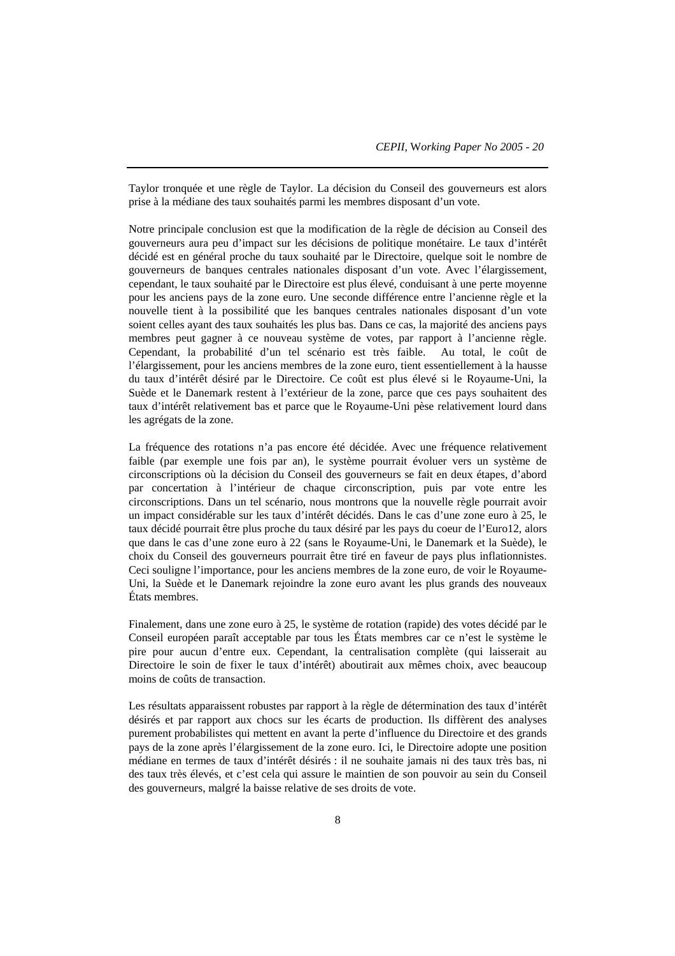Taylor tronquée et une règle de Taylor. La décision du Conseil des gouverneurs est alors prise à la médiane des taux souhaités parmi les membres disposant d'un vote.

Notre principale conclusion est que la modification de la règle de décision au Conseil des gouverneurs aura peu d'impact sur les décisions de politique monétaire. Le taux d'intérêt décidé est en général proche du taux souhaité par le Directoire, quelque soit le nombre de gouverneurs de banques centrales nationales disposant d'un vote. Avec l'élargissement, cependant, le taux souhaité par le Directoire est plus élevé, conduisant à une perte moyenne pour les anciens pays de la zone euro. Une seconde différence entre l'ancienne règle et la nouvelle tient à la possibilité que les banques centrales nationales disposant d'un vote soient celles ayant des taux souhaités les plus bas. Dans ce cas, la majorité des anciens pays membres peut gagner à ce nouveau système de votes, par rapport à l'ancienne règle. Cependant, la probabilité d'un tel scénario est très faible. Au total, le coût de l'élargissement, pour les anciens membres de la zone euro, tient essentiellement à la hausse du taux d'intérêt désiré par le Directoire. Ce coût est plus élevé si le Royaume-Uni, la Suède et le Danemark restent à l'extérieur de la zone, parce que ces pays souhaitent des taux d'intérêt relativement bas et parce que le Royaume-Uni pèse relativement lourd dans les agrégats de la zone.

La fréquence des rotations n'a pas encore été décidée. Avec une fréquence relativement faible (par exemple une fois par an), le système pourrait évoluer vers un système de circonscriptions où la décision du Conseil des gouverneurs se fait en deux étapes, d'abord par concertation à l'intérieur de chaque circonscription, puis par vote entre les circonscriptions. Dans un tel scénario, nous montrons que la nouvelle règle pourrait avoir un impact considérable sur les taux d'intérêt décidés. Dans le cas d'une zone euro à 25, le taux décidé pourrait être plus proche du taux désiré par les pays du coeur de l'Euro12, alors que dans le cas d'une zone euro à 22 (sans le Royaume-Uni, le Danemark et la Suède), le choix du Conseil des gouverneurs pourrait être tiré en faveur de pays plus inflationnistes. Ceci souligne l'importance, pour les anciens membres de la zone euro, de voir le Royaume-Uni, la Suède et le Danemark rejoindre la zone euro avant les plus grands des nouveaux États membres.

Finalement, dans une zone euro à 25, le système de rotation (rapide) des votes décidé par le Conseil européen paraît acceptable par tous les États membres car ce n'est le système le pire pour aucun d'entre eux. Cependant, la centralisation complète (qui laisserait au Directoire le soin de fixer le taux d'intérêt) aboutirait aux mêmes choix, avec beaucoup moins de coûts de transaction.

Les résultats apparaissent robustes par rapport à la règle de détermination des taux d'intérêt désirés et par rapport aux chocs sur les écarts de production. Ils diffèrent des analyses purement probabilistes qui mettent en avant la perte d'influence du Directoire et des grands pays de la zone après l'élargissement de la zone euro. Ici, le Directoire adopte une position médiane en termes de taux d'intérêt désirés : il ne souhaite jamais ni des taux très bas, ni des taux très élevés, et c'est cela qui assure le maintien de son pouvoir au sein du Conseil des gouverneurs, malgré la baisse relative de ses droits de vote.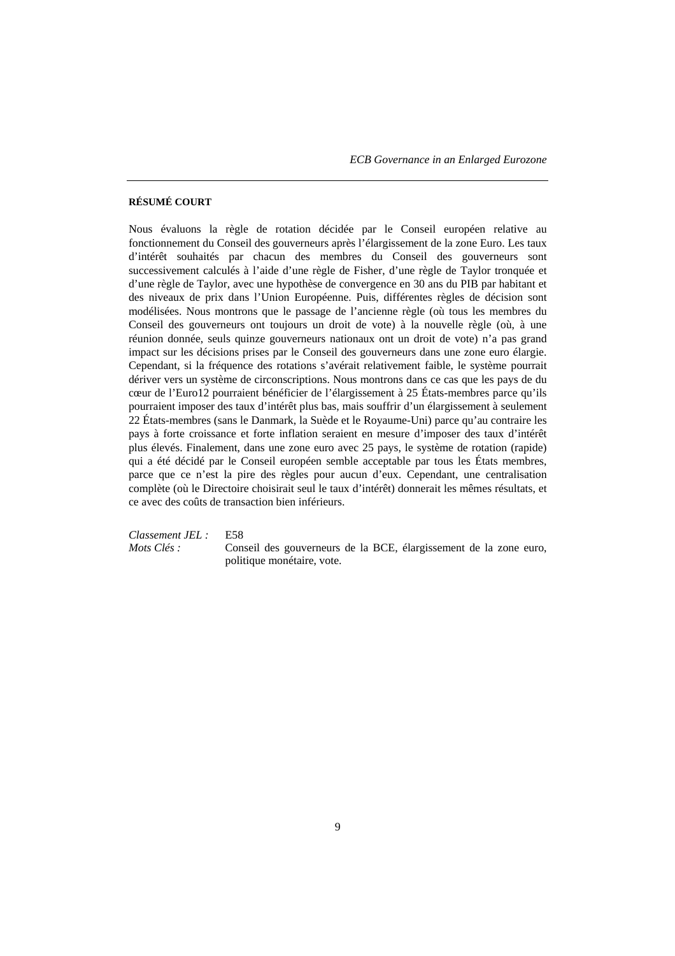### **RÉSUMÉ COURT**

Nous évaluons la règle de rotation décidée par le Conseil européen relative au fonctionnement du Conseil des gouverneurs après l'élargissement de la zone Euro. Les taux d'intérêt souhaités par chacun des membres du Conseil des gouverneurs sont successivement calculés à l'aide d'une règle de Fisher, d'une règle de Taylor tronquée et d'une règle de Taylor, avec une hypothèse de convergence en 30 ans du PIB par habitant et des niveaux de prix dans l'Union Européenne. Puis, différentes règles de décision sont modélisées. Nous montrons que le passage de l'ancienne règle (où tous les membres du Conseil des gouverneurs ont toujours un droit de vote) à la nouvelle règle (où, à une réunion donnée, seuls quinze gouverneurs nationaux ont un droit de vote) n'a pas grand impact sur les décisions prises par le Conseil des gouverneurs dans une zone euro élargie. Cependant, si la fréquence des rotations s'avérait relativement faible, le système pourrait dériver vers un système de circonscriptions. Nous montrons dans ce cas que les pays de du cœur de l'Euro12 pourraient bénéficier de l'élargissement à 25 États-membres parce qu'ils pourraient imposer des taux d'intérêt plus bas, mais souffrir d'un élargissement à seulement 22 États-membres (sans le Danmark, la Suède et le Royaume-Uni) parce qu'au contraire les pays à forte croissance et forte inflation seraient en mesure d'imposer des taux d'intérêt plus élevés. Finalement, dans une zone euro avec 25 pays, le système de rotation (rapide) qui a été décidé par le Conseil européen semble acceptable par tous les États membres, parce que ce n'est la pire des règles pour aucun d'eux. Cependant, une centralisation complète (où le Directoire choisirait seul le taux d'intérêt) donnerait les mêmes résultats, et ce avec des coûts de transaction bien inférieurs.

*Classement JEL :* E58

*Mots Clés :* Conseil des gouverneurs de la BCE, élargissement de la zone euro, politique monétaire, vote.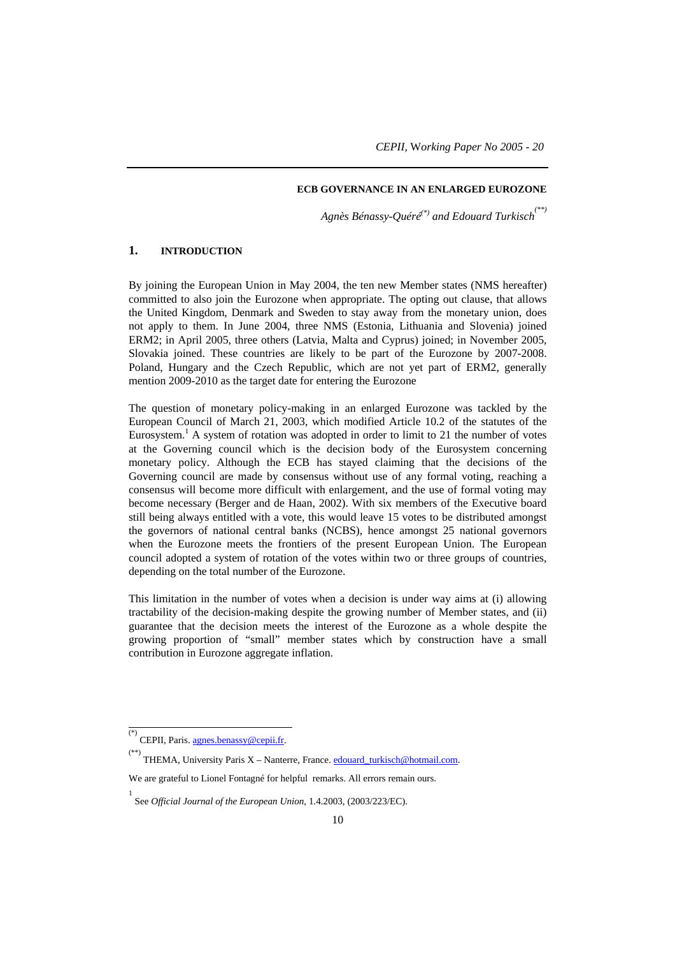#### **ECB GOVERNANCE IN AN ENLARGED EUROZONE**

*Agnès Bénassy-Quéré(\*) and Edouard Turkisch(\*\*)*

# **1. INTRODUCTION**

By joining the European Union in May 2004, the ten new Member states (NMS hereafter) committed to also join the Eurozone when appropriate. The opting out clause, that allows the United Kingdom, Denmark and Sweden to stay away from the monetary union, does not apply to them. In June 2004, three NMS (Estonia, Lithuania and Slovenia) joined ERM2; in April 2005, three others (Latvia, Malta and Cyprus) joined; in November 2005, Slovakia joined. These countries are likely to be part of the Eurozone by 2007-2008. Poland, Hungary and the Czech Republic, which are not yet part of ERM2, generally mention 2009-2010 as the target date for entering the Eurozone

The question of monetary policy-making in an enlarged Eurozone was tackled by the European Council of March 21, 2003, which modified Article 10.2 of the statutes of the Eurosystem.<sup>1</sup> A system of rotation was adopted in order to limit to 21 the number of votes at the Governing council which is the decision body of the Eurosystem concerning monetary policy. Although the ECB has stayed claiming that the decisions of the Governing council are made by consensus without use of any formal voting, reaching a consensus will become more difficult with enlargement, and the use of formal voting may become necessary (Berger and de Haan, 2002). With six members of the Executive board still being always entitled with a vote, this would leave 15 votes to be distributed amongst the governors of national central banks (NCBS), hence amongst 25 national governors when the Eurozone meets the frontiers of the present European Union. The European council adopted a system of rotation of the votes within two or three groups of countries, depending on the total number of the Eurozone.

This limitation in the number of votes when a decision is under way aims at (i) allowing tractability of the decision-making despite the growing number of Member states, and (ii) guarantee that the decision meets the interest of the Eurozone as a whole despite the growing proportion of "small" member states which by construction have a small contribution in Eurozone aggregate inflation.

 <sup>(\*)</sup> CEPII, Paris. agnes.benassy@cepii.fr.

<sup>&</sup>lt;sup>(\*\*)</sup> THEMA, University Paris X – Nanterre, France. **edouard\_turkisch@hotmail.com.** 

We are grateful to Lionel Fontagné for helpful remarks. All errors remain ours.

<sup>1</sup> See *Official Journal of the European Union*, 1.4.2003, (2003/223/EC).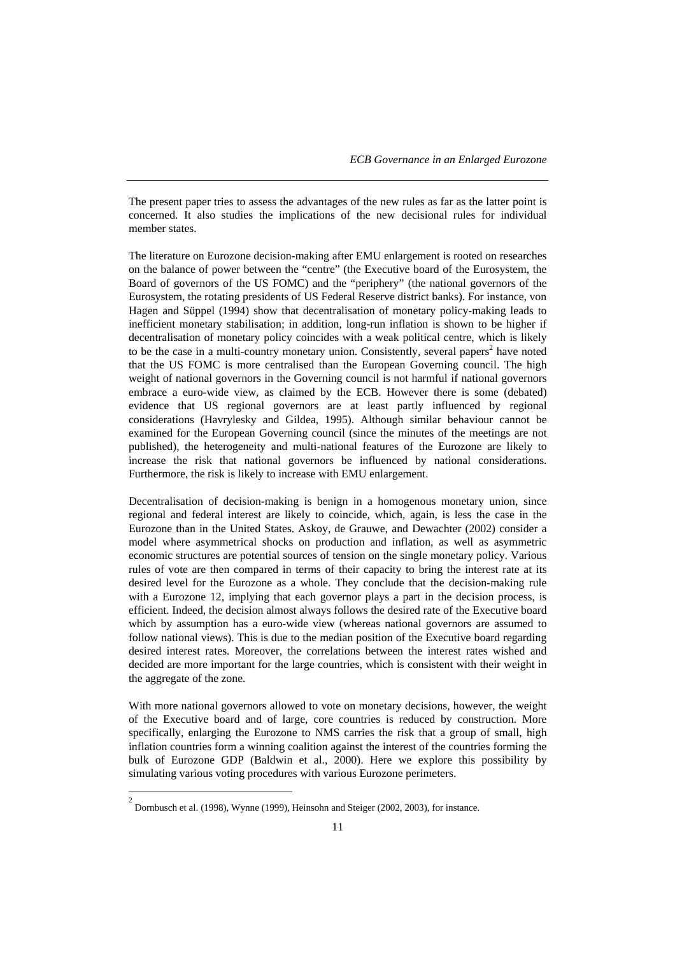The present paper tries to assess the advantages of the new rules as far as the latter point is concerned. It also studies the implications of the new decisional rules for individual member states.

The literature on Eurozone decision-making after EMU enlargement is rooted on researches on the balance of power between the "centre" (the Executive board of the Eurosystem, the Board of governors of the US FOMC) and the "periphery" (the national governors of the Eurosystem, the rotating presidents of US Federal Reserve district banks). For instance, von Hagen and Süppel (1994) show that decentralisation of monetary policy-making leads to inefficient monetary stabilisation; in addition, long-run inflation is shown to be higher if decentralisation of monetary policy coincides with a weak political centre, which is likely to be the case in a multi-country monetary union. Consistently, several papers<sup>2</sup> have noted that the US FOMC is more centralised than the European Governing council. The high weight of national governors in the Governing council is not harmful if national governors embrace a euro-wide view, as claimed by the ECB. However there is some (debated) evidence that US regional governors are at least partly influenced by regional considerations (Havrylesky and Gildea, 1995). Although similar behaviour cannot be examined for the European Governing council (since the minutes of the meetings are not published), the heterogeneity and multi-national features of the Eurozone are likely to increase the risk that national governors be influenced by national considerations. Furthermore, the risk is likely to increase with EMU enlargement.

Decentralisation of decision-making is benign in a homogenous monetary union, since regional and federal interest are likely to coincide, which, again, is less the case in the Eurozone than in the United States. Askoy, de Grauwe, and Dewachter (2002) consider a model where asymmetrical shocks on production and inflation, as well as asymmetric economic structures are potential sources of tension on the single monetary policy. Various rules of vote are then compared in terms of their capacity to bring the interest rate at its desired level for the Eurozone as a whole. They conclude that the decision-making rule with a Eurozone 12, implying that each governor plays a part in the decision process, is efficient. Indeed, the decision almost always follows the desired rate of the Executive board which by assumption has a euro-wide view (whereas national governors are assumed to follow national views). This is due to the median position of the Executive board regarding desired interest rates. Moreover, the correlations between the interest rates wished and decided are more important for the large countries, which is consistent with their weight in the aggregate of the zone.

With more national governors allowed to vote on monetary decisions, however, the weight of the Executive board and of large, core countries is reduced by construction. More specifically, enlarging the Eurozone to NMS carries the risk that a group of small, high inflation countries form a winning coalition against the interest of the countries forming the bulk of Eurozone GDP (Baldwin et al., 2000). Here we explore this possibility by simulating various voting procedures with various Eurozone perimeters.

<sup>&</sup>lt;sup>2</sup> Dornbusch et al. (1998), Wynne (1999), Heinsohn and Steiger (2002, 2003), for instance.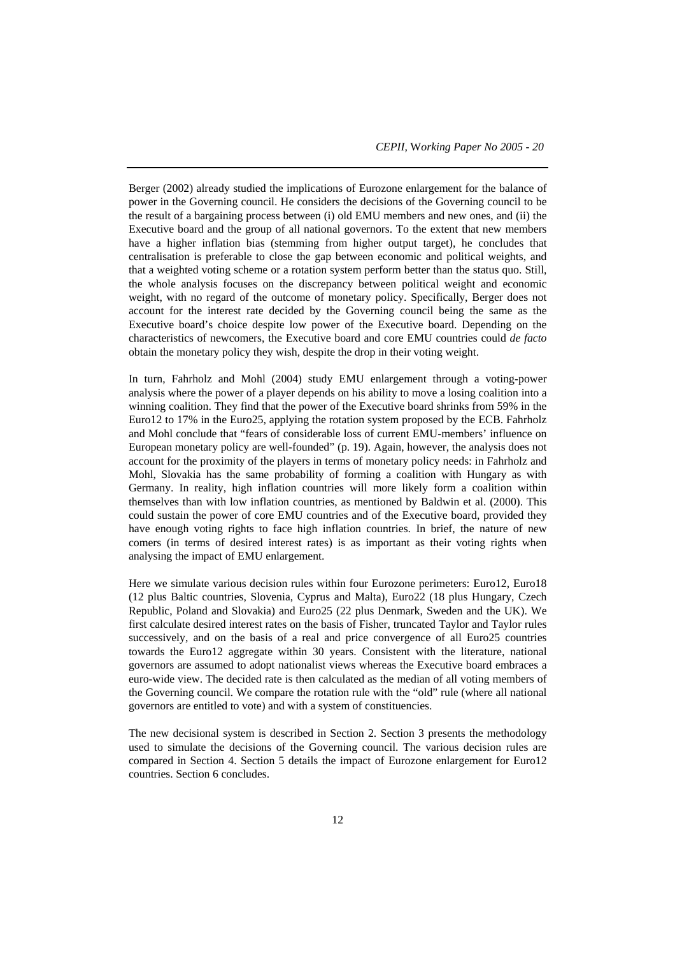Berger (2002) already studied the implications of Eurozone enlargement for the balance of power in the Governing council. He considers the decisions of the Governing council to be the result of a bargaining process between (i) old EMU members and new ones, and (ii) the Executive board and the group of all national governors. To the extent that new members have a higher inflation bias (stemming from higher output target), he concludes that centralisation is preferable to close the gap between economic and political weights, and that a weighted voting scheme or a rotation system perform better than the status quo. Still, the whole analysis focuses on the discrepancy between political weight and economic weight, with no regard of the outcome of monetary policy. Specifically, Berger does not account for the interest rate decided by the Governing council being the same as the Executive board's choice despite low power of the Executive board. Depending on the characteristics of newcomers, the Executive board and core EMU countries could *de facto* obtain the monetary policy they wish, despite the drop in their voting weight.

In turn, Fahrholz and Mohl (2004) study EMU enlargement through a voting-power analysis where the power of a player depends on his ability to move a losing coalition into a winning coalition. They find that the power of the Executive board shrinks from 59% in the Euro12 to 17% in the Euro25, applying the rotation system proposed by the ECB. Fahrholz and Mohl conclude that "fears of considerable loss of current EMU-members' influence on European monetary policy are well-founded" (p. 19). Again, however, the analysis does not account for the proximity of the players in terms of monetary policy needs: in Fahrholz and Mohl, Slovakia has the same probability of forming a coalition with Hungary as with Germany. In reality, high inflation countries will more likely form a coalition within themselves than with low inflation countries, as mentioned by Baldwin et al. (2000). This could sustain the power of core EMU countries and of the Executive board, provided they have enough voting rights to face high inflation countries. In brief, the nature of new comers (in terms of desired interest rates) is as important as their voting rights when analysing the impact of EMU enlargement.

Here we simulate various decision rules within four Eurozone perimeters: Euro12, Euro18 (12 plus Baltic countries, Slovenia, Cyprus and Malta), Euro22 (18 plus Hungary, Czech Republic, Poland and Slovakia) and Euro25 (22 plus Denmark, Sweden and the UK). We first calculate desired interest rates on the basis of Fisher, truncated Taylor and Taylor rules successively, and on the basis of a real and price convergence of all Euro25 countries towards the Euro12 aggregate within 30 years. Consistent with the literature, national governors are assumed to adopt nationalist views whereas the Executive board embraces a euro-wide view. The decided rate is then calculated as the median of all voting members of the Governing council. We compare the rotation rule with the "old" rule (where all national governors are entitled to vote) and with a system of constituencies.

The new decisional system is described in Section 2. Section 3 presents the methodology used to simulate the decisions of the Governing council. The various decision rules are compared in Section 4. Section 5 details the impact of Eurozone enlargement for Euro12 countries. Section 6 concludes.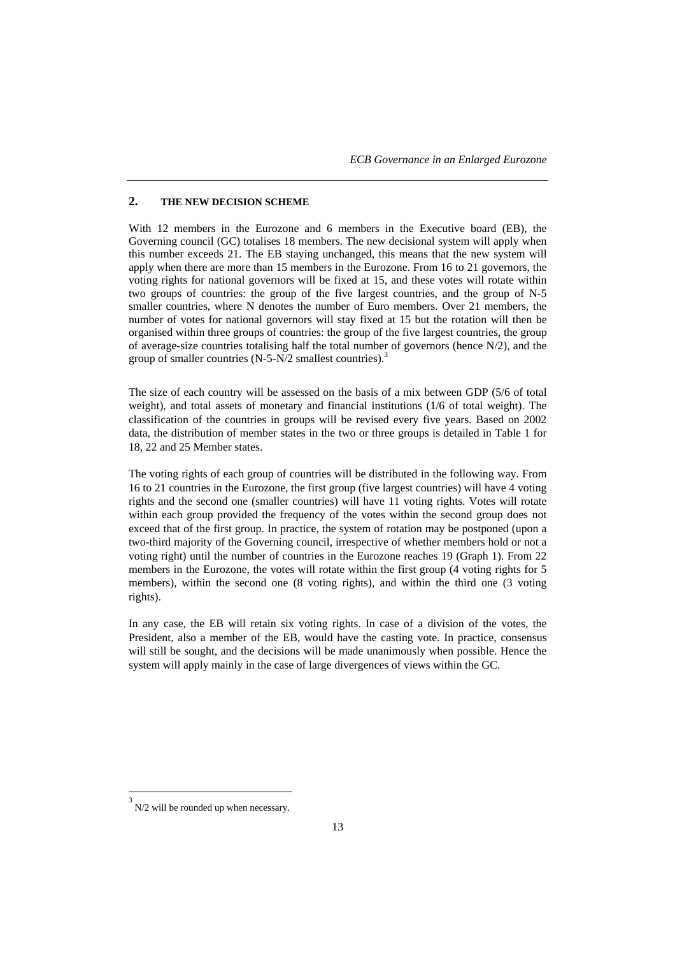## **2. THE NEW DECISION SCHEME**

With 12 members in the Eurozone and 6 members in the Executive board (EB), the Governing council (GC) totalises 18 members. The new decisional system will apply when this number exceeds 21. The EB staying unchanged, this means that the new system will apply when there are more than 15 members in the Eurozone. From 16 to 21 governors, the voting rights for national governors will be fixed at 15, and these votes will rotate within two groups of countries: the group of the five largest countries, and the group of N-5 smaller countries, where N denotes the number of Euro members. Over 21 members, the number of votes for national governors will stay fixed at 15 but the rotation will then be organised within three groups of countries: the group of the five largest countries, the group of average-size countries totalising half the total number of governors (hence N/2), and the group of smaller countries  $(N-5-N/2)$  smallest countries).<sup>3</sup>

The size of each country will be assessed on the basis of a mix between GDP (5/6 of total weight), and total assets of monetary and financial institutions (1/6 of total weight). The classification of the countries in groups will be revised every five years. Based on 2002 data, the distribution of member states in the two or three groups is detailed in Table 1 for 18, 22 and 25 Member states.

The voting rights of each group of countries will be distributed in the following way. From 16 to 21 countries in the Eurozone, the first group (five largest countries) will have 4 voting rights and the second one (smaller countries) will have 11 voting rights. Votes will rotate within each group provided the frequency of the votes within the second group does not exceed that of the first group. In practice, the system of rotation may be postponed (upon a two-third majority of the Governing council, irrespective of whether members hold or not a voting right) until the number of countries in the Eurozone reaches 19 (Graph 1). From 22 members in the Eurozone, the votes will rotate within the first group (4 voting rights for 5 members), within the second one (8 voting rights), and within the third one (3 voting rights).

In any case, the EB will retain six voting rights. In case of a division of the votes, the President, also a member of the EB, would have the casting vote. In practice, consensus will still be sought, and the decisions will be made unanimously when possible. Hence the system will apply mainly in the case of large divergences of views within the GC.

l

<sup>3</sup> N/2 will be rounded up when necessary.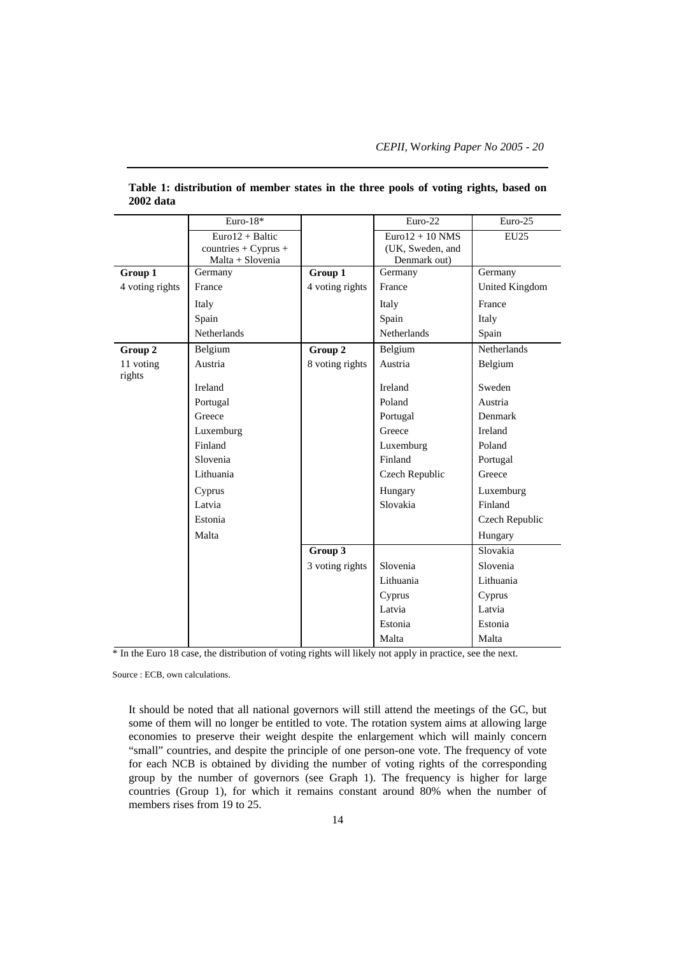|                     | Euro- $18*$            |                 | Euro-22           | Euro-25               |
|---------------------|------------------------|-----------------|-------------------|-----------------------|
|                     | $Euro12 + Baltic$      |                 | $Euro12 + 10 NMS$ | <b>EU25</b>           |
|                     | $countries + Cyprus +$ |                 | (UK, Sweden, and  |                       |
|                     | Malta + Slovenia       |                 | Denmark out)      |                       |
| Group 1             | Germany                | Group 1         | Germany           | Germany               |
| 4 voting rights     | France                 | 4 voting rights | France            | <b>United Kingdom</b> |
|                     | Italy                  |                 | Italy             | France                |
|                     | Spain                  |                 | Spain             | Italy                 |
|                     | Netherlands            |                 | Netherlands       | Spain                 |
| Group 2             | Belgium                | Group 2         | Belgium           | Netherlands           |
| 11 voting<br>rights | Austria                | 8 voting rights | Austria           | Belgium               |
|                     | Ireland                |                 | Ireland           | Sweden                |
|                     | Portugal               |                 | Poland            | Austria               |
|                     | Greece                 |                 | Portugal          | Denmark               |
|                     | Luxemburg              |                 | Greece            | Ireland               |
|                     | Finland                |                 | Luxemburg         | Poland                |
|                     | Slovenia               |                 | Finland           | Portugal              |
|                     | Lithuania              |                 | Czech Republic    | Greece                |
|                     | Cyprus                 |                 | Hungary           | Luxemburg             |
|                     | Latvia                 |                 | Slovakia          | Finland               |
|                     | Estonia                |                 |                   | Czech Republic        |
|                     | Malta                  |                 |                   | Hungary               |
|                     |                        | Group 3         |                   | Slovakia              |
|                     |                        | 3 voting rights | Slovenia          | Slovenia              |
|                     |                        |                 | Lithuania         | Lithuania             |
|                     |                        |                 | Cyprus            | Cyprus                |
|                     |                        |                 | Latvia            | Latvia                |
|                     |                        |                 | Estonia           | Estonia               |
|                     |                        |                 | Malta             | Malta                 |

**Table 1: distribution of member states in the three pools of voting rights, based on 2002 data**

\* In the Euro 18 case, the distribution of voting rights will likely not apply in practice, see the next.

Source : ECB, own calculations.

It should be noted that all national governors will still attend the meetings of the GC, but some of them will no longer be entitled to vote. The rotation system aims at allowing large economies to preserve their weight despite the enlargement which will mainly concern "small" countries, and despite the principle of one person-one vote. The frequency of vote for each NCB is obtained by dividing the number of voting rights of the corresponding group by the number of governors (see Graph 1). The frequency is higher for large countries (Group 1), for which it remains constant around 80% when the number of members rises from 19 to 25.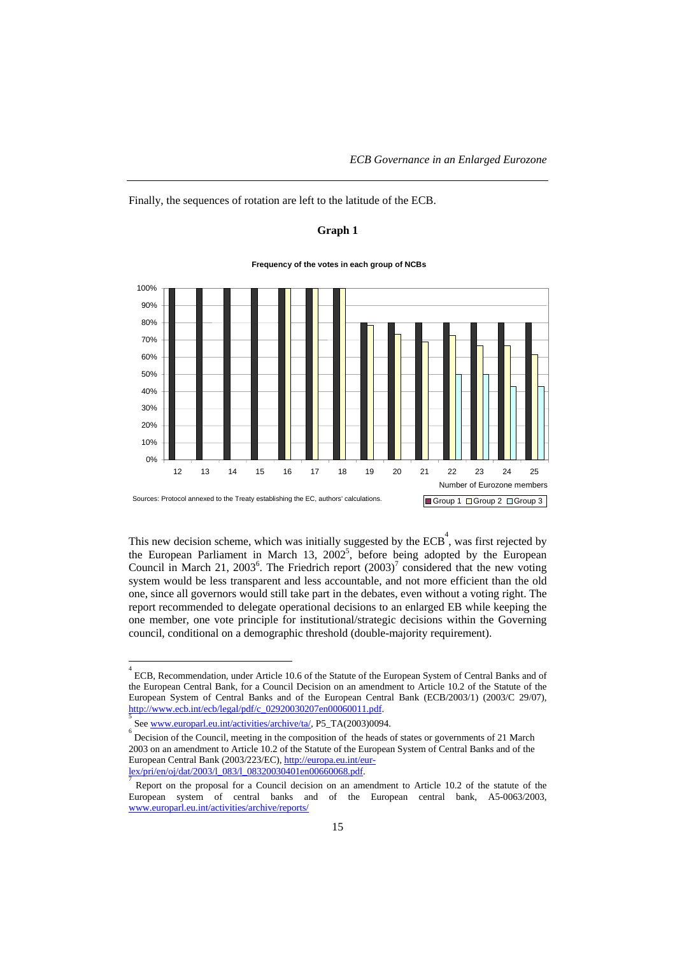Finally, the sequences of rotation are left to the latitude of the ECB.

## **Graph 1**



**Frequency of the votes in each group of NCBs**

This new decision scheme, which was initially suggested by the  $ECB<sup>4</sup>$ , was first rejected by the European Parliament in March 13,  $2002^5$ , before being adopted by the European Council in March 21, 2003<sup>6</sup>. The Friedrich report  $(2003)^7$  considered that the new voting system would be less transparent and less accountable, and not more efficient than the old one, since all governors would still take part in the debates, even without a voting right. The report recommended to delegate operational decisions to an enlarged EB while keeping the one member, one vote principle for institutional/strategic decisions within the Governing council, conditional on a demographic threshold (double-majority requirement).

l

<sup>4</sup> ECB, Recommendation, under Article 10.6 of the Statute of the European System of Central Banks and of the European Central Bank, for a Council Decision on an amendment to Article 10.2 of the Statute of the European System of Central Banks and of the European Central Bank (ECB/2003/1) (2003/C 29/07), http://www.ecb.int/ecb/legal/pdf/c\_02920030207en00060011.pdf.

See www.europarl.eu.int/activities/archive/ta/, P5\_TA(2003)0094.

Decision of the Council, meeting in the composition of the heads of states or governments of 21 March 2003 on an amendment to Article 10.2 of the Statute of the European System of Central Banks and of the European Central Bank (2003/223/EC), http://europa.eu.int/eurlex/pri/en/oj/dat/2003/l\_083/l\_08320030401en00660068.pdf. <sup>7</sup>

Report on the proposal for a Council decision on an amendment to Article 10.2 of the statute of the European system of central banks and of the European central bank, A5-0063/2003, www.europarl.eu.int/activities/archive/reports/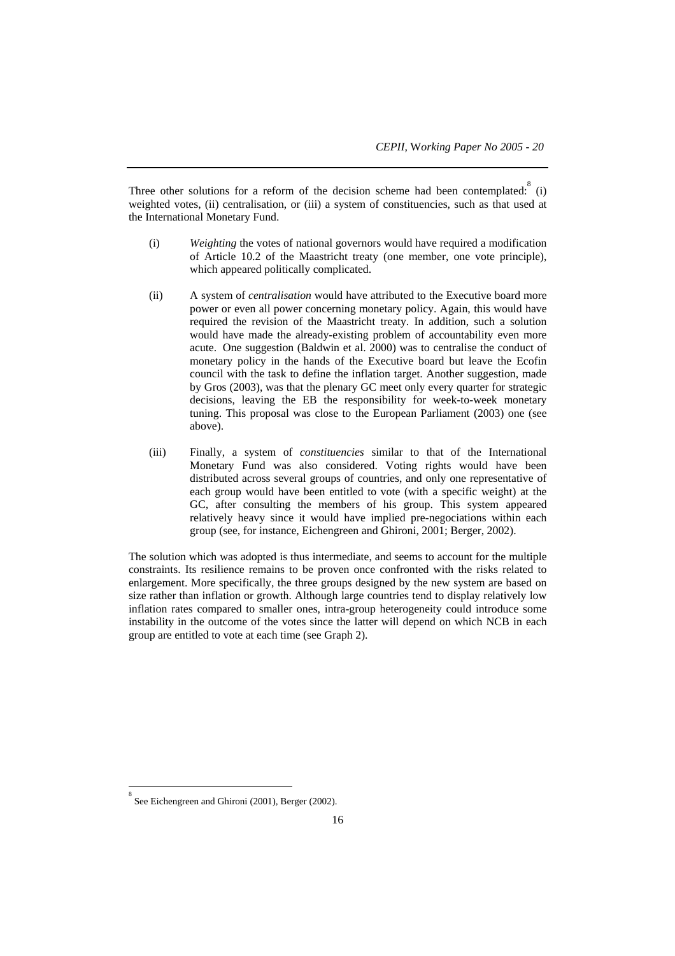Three other solutions for a reform of the decision scheme had been contemplated:  $8$  (i) weighted votes, (ii) centralisation, or (iii) a system of constituencies, such as that used at the International Monetary Fund.

- (i) *Weighting* the votes of national governors would have required a modification of Article 10.2 of the Maastricht treaty (one member, one vote principle), which appeared politically complicated.
- (ii) A system of *centralisation* would have attributed to the Executive board more power or even all power concerning monetary policy. Again, this would have required the revision of the Maastricht treaty. In addition, such a solution would have made the already-existing problem of accountability even more acute. One suggestion (Baldwin et al. 2000) was to centralise the conduct of monetary policy in the hands of the Executive board but leave the Ecofin council with the task to define the inflation target. Another suggestion, made by Gros (2003), was that the plenary GC meet only every quarter for strategic decisions, leaving the EB the responsibility for week-to-week monetary tuning. This proposal was close to the European Parliament (2003) one (see above).
- (iii) Finally, a system of *constituencies* similar to that of the International Monetary Fund was also considered. Voting rights would have been distributed across several groups of countries, and only one representative of each group would have been entitled to vote (with a specific weight) at the GC, after consulting the members of his group. This system appeared relatively heavy since it would have implied pre-negociations within each group (see, for instance, Eichengreen and Ghironi, 2001; Berger, 2002).

The solution which was adopted is thus intermediate, and seems to account for the multiple constraints. Its resilience remains to be proven once confronted with the risks related to enlargement. More specifically, the three groups designed by the new system are based on size rather than inflation or growth. Although large countries tend to display relatively low inflation rates compared to smaller ones, intra-group heterogeneity could introduce some instability in the outcome of the votes since the latter will depend on which NCB in each group are entitled to vote at each time (see Graph 2).

l

<sup>8</sup> See Eichengreen and Ghironi (2001), Berger (2002).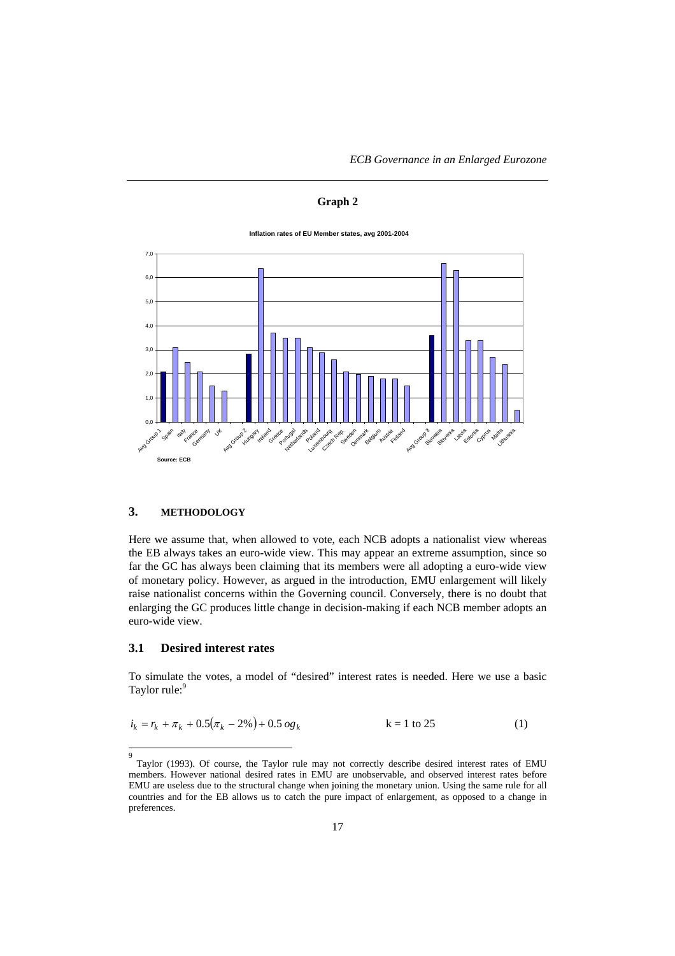# **Graph 2**

#### **Inflation rates of EU Member states, avg 2001-2004**



## **3. METHODOLOGY**

Here we assume that, when allowed to vote, each NCB adopts a nationalist view whereas the EB always takes an euro-wide view. This may appear an extreme assumption, since so far the GC has always been claiming that its members were all adopting a euro-wide view of monetary policy. However, as argued in the introduction, EMU enlargement will likely raise nationalist concerns within the Governing council. Conversely, there is no doubt that enlarging the GC produces little change in decision-making if each NCB member adopts an euro-wide view.

# **3.1 Desired interest rates**

9

To simulate the votes, a model of "desired" interest rates is needed. Here we use a basic Taylor rule:<sup>9</sup>

$$
i_k = r_k + \pi_k + 0.5(\pi_k - 2\%) + 0.5 \text{ og}_k \qquad k = 1 \text{ to } 25 \tag{1}
$$

Taylor (1993). Of course, the Taylor rule may not correctly describe desired interest rates of EMU members. However national desired rates in EMU are unobservable, and observed interest rates before EMU are useless due to the structural change when joining the monetary union. Using the same rule for all countries and for the EB allows us to catch the pure impact of enlargement, as opposed to a change in preferences.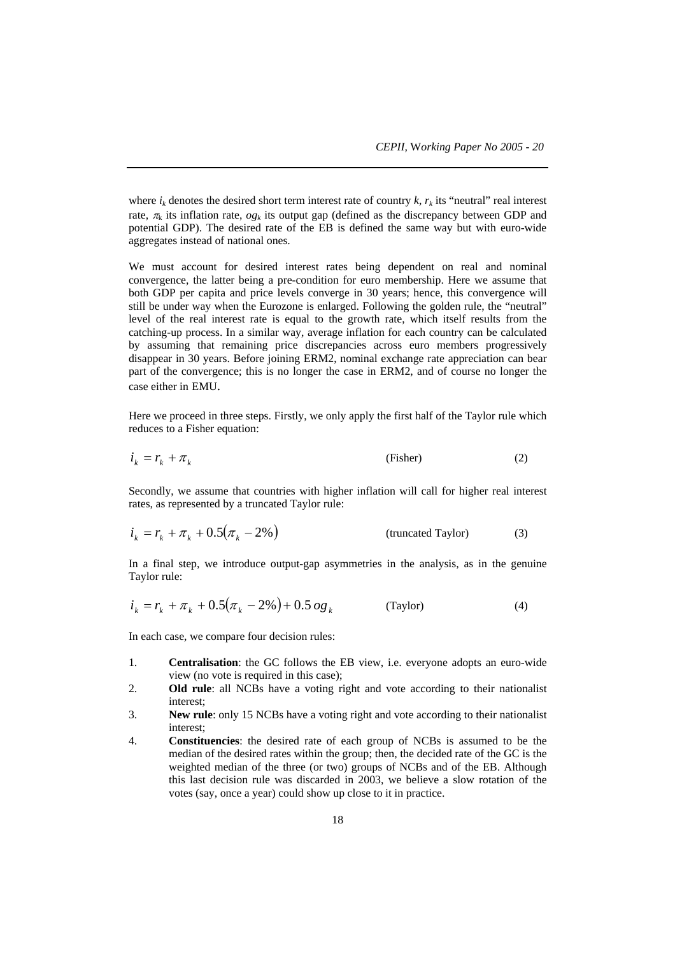where  $i_k$  denotes the desired short term interest rate of country  $k$ ,  $r_k$  its "neutral" real interest rate,  $\pi_k$  its inflation rate,  $og_k$  its output gap (defined as the discrepancy between GDP and potential GDP). The desired rate of the EB is defined the same way but with euro-wide aggregates instead of national ones.

We must account for desired interest rates being dependent on real and nominal convergence, the latter being a pre-condition for euro membership. Here we assume that both GDP per capita and price levels converge in 30 years; hence, this convergence will still be under way when the Eurozone is enlarged. Following the golden rule, the "neutral" level of the real interest rate is equal to the growth rate, which itself results from the catching-up process. In a similar way, average inflation for each country can be calculated by assuming that remaining price discrepancies across euro members progressively disappear in 30 years. Before joining ERM2, nominal exchange rate appreciation can bear part of the convergence; this is no longer the case in ERM2, and of course no longer the case either in EMU.

Here we proceed in three steps. Firstly, we only apply the first half of the Taylor rule which reduces to a Fisher equation:

$$
i_k = r_k + \pi_k \tag{2}
$$

Secondly, we assume that countries with higher inflation will call for higher real interest rates, as represented by a truncated Taylor rule:

$$
i_k = r_k + \pi_k + 0.5(\pi_k - 2\%)
$$
 (truncated Taylor) (3)

In a final step, we introduce output-gap asymmetries in the analysis, as in the genuine Taylor rule:

$$
i_k = r_k + \pi_k + 0.5(\pi_k - 2\%) + 0.5 \text{ og }_k \tag{Taylor}
$$

In each case, we compare four decision rules:

- 1. **Centralisation**: the GC follows the EB view, i.e. everyone adopts an euro-wide view (no vote is required in this case);
- 2. **Old rule**: all NCBs have a voting right and vote according to their nationalist interest;
- 3. **New rule**: only 15 NCBs have a voting right and vote according to their nationalist interest;
- 4. **Constituencies**: the desired rate of each group of NCBs is assumed to be the median of the desired rates within the group; then, the decided rate of the GC is the weighted median of the three (or two) groups of NCBs and of the EB. Although this last decision rule was discarded in 2003, we believe a slow rotation of the votes (say, once a year) could show up close to it in practice.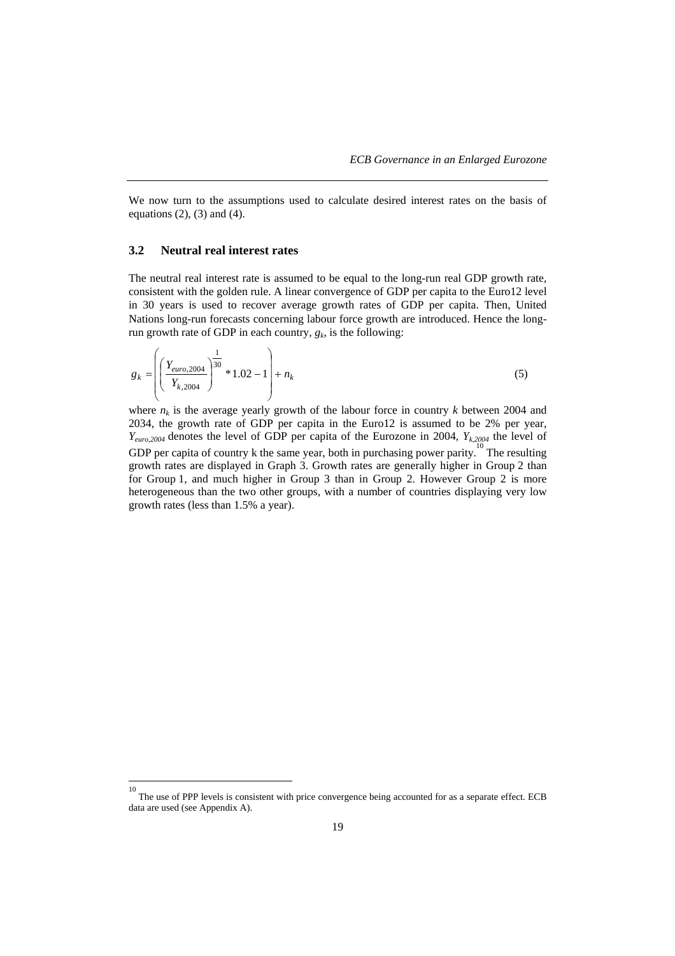We now turn to the assumptions used to calculate desired interest rates on the basis of equations  $(2)$ ,  $(3)$  and  $(4)$ .

# **3.2 Neutral real interest rates**

The neutral real interest rate is assumed to be equal to the long-run real GDP growth rate, consistent with the golden rule. A linear convergence of GDP per capita to the Euro12 level in 30 years is used to recover average growth rates of GDP per capita. Then, United Nations long-run forecasts concerning labour force growth are introduced. Hence the longrun growth rate of GDP in each country,  $g_k$ , is the following:

$$
g_k = \left( \left( \frac{Y_{euro,2004}}{Y_{k,2004}} \right)^{\frac{1}{30}} * 1.02 - 1 \right) + n_k
$$
 (5)

where  $n_k$  is the average yearly growth of the labour force in country  $k$  between 2004 and 2034, the growth rate of GDP per capita in the Euro12 is assumed to be 2% per year,  $Y_{euro,2004}$  denotes the level of GDP per capita of the Eurozone in 2004,  $Y_{k,2004}$  the level of GDP per capita of country k the same year, both in purchasing power parity.<sup>10</sup> The resulting growth rates are displayed in Graph 3. Growth rates are generally higher in Group 2 than for Group 1, and much higher in Group 3 than in Group 2. However Group 2 is more heterogeneous than the two other groups, with a number of countries displaying very low growth rates (less than 1.5% a year).

 $\frac{1}{10}$  The use of PPP levels is consistent with price convergence being accounted for as a separate effect. ECB data are used (see Appendix A).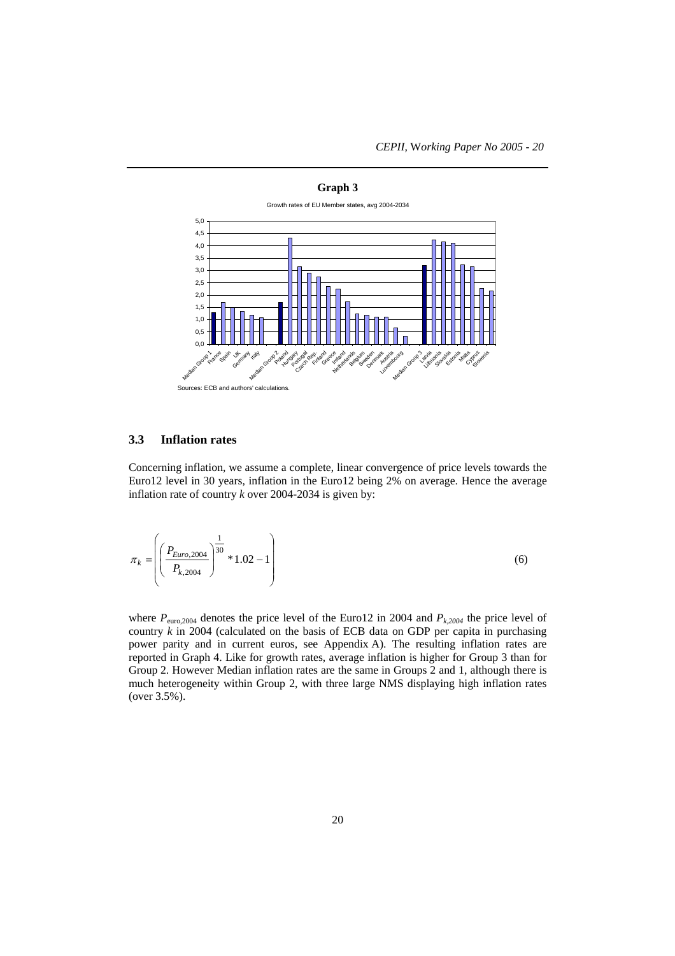

#### **3.3 Inflation rates**

Concerning inflation, we assume a complete, linear convergence of price levels towards the Euro12 level in 30 years, inflation in the Euro12 being 2% on average. Hence the average inflation rate of country *k* over 2004-2034 is given by:

$$
\pi_k = \left( \left( \frac{P_{Euro,2004}}{P_{k,2004}} \right)^{\frac{1}{30}} * 1.02 - 1 \right) \tag{6}
$$

where  $P_{\text{euro},2004}$  denotes the price level of the Euro12 in 2004 and  $P_{k,2004}$  the price level of country *k* in 2004 (calculated on the basis of ECB data on GDP per capita in purchasing power parity and in current euros, see Appendix A). The resulting inflation rates are reported in Graph 4. Like for growth rates, average inflation is higher for Group 3 than for Group 2. However Median inflation rates are the same in Groups 2 and 1, although there is much heterogeneity within Group 2, with three large NMS displaying high inflation rates (over 3.5%).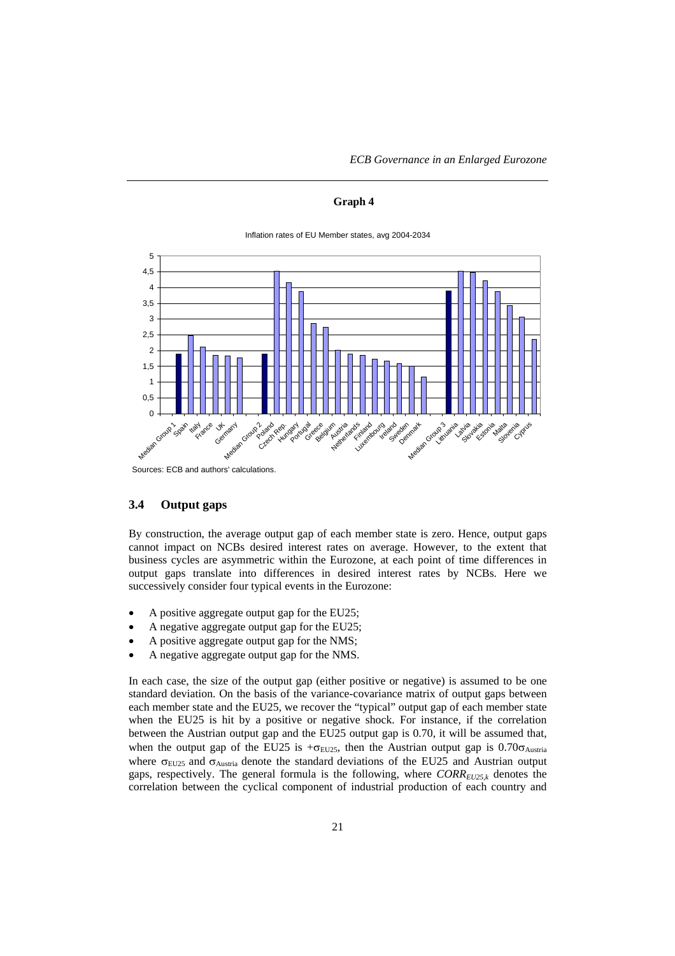*ECB Governance in an Enlarged Eurozone*

#### **Graph 4**



Inflation rates of EU Member states, avg 2004-2034

### **3.4 Output gaps**

By construction, the average output gap of each member state is zero. Hence, output gaps cannot impact on NCBs desired interest rates on average. However, to the extent that business cycles are asymmetric within the Eurozone, at each point of time differences in output gaps translate into differences in desired interest rates by NCBs. Here we successively consider four typical events in the Eurozone:

- A positive aggregate output gap for the EU25;
- A negative aggregate output gap for the EU25;
- A positive aggregate output gap for the NMS;
- A negative aggregate output gap for the NMS.

In each case, the size of the output gap (either positive or negative) is assumed to be one standard deviation. On the basis of the variance-covariance matrix of output gaps between each member state and the EU25, we recover the "typical" output gap of each member state when the EU25 is hit by a positive or negative shock. For instance, if the correlation between the Austrian output gap and the EU25 output gap is 0.70, it will be assumed that, when the output gap of the EU25 is + $\sigma$ <sub>EU25</sub>, then the Austrian output gap is 0.70 $\sigma$ <sub>Austria</sub> where  $\sigma_{EU25}$  and  $\sigma_{Austria}$  denote the standard deviations of the EU25 and Austrian output gaps, respectively. The general formula is the following, where  $CORR_{EU25,k}$  denotes the correlation between the cyclical component of industrial production of each country and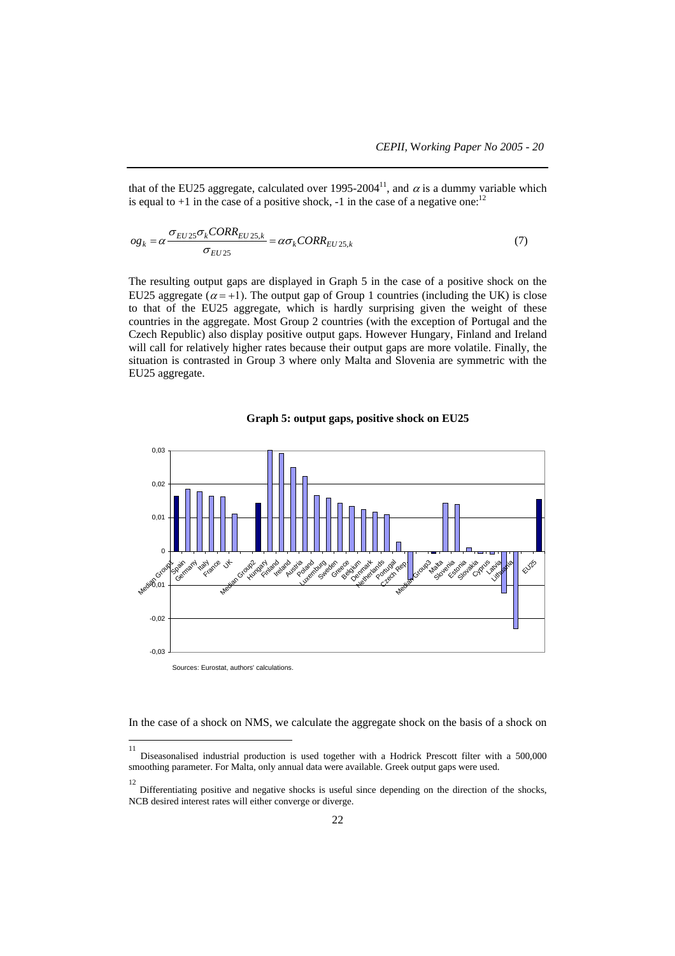that of the EU25 aggregate, calculated over 1995-2004<sup>11</sup>, and  $\alpha$  is a dummy variable which is equal to  $+1$  in the case of a positive shock,  $-1$  in the case of a negative one:<sup>12</sup>

$$
\rho g_k = \alpha \frac{\sigma_{EU25} \sigma_k CORR_{EU25,k}}{\sigma_{EU25}} = \alpha \sigma_k CORR_{EU25,k}
$$
\n(7)

The resulting output gaps are displayed in Graph 5 in the case of a positive shock on the EU25 aggregate ( $\alpha = +1$ ). The output gap of Group 1 countries (including the UK) is close to that of the EU25 aggregate, which is hardly surprising given the weight of these countries in the aggregate. Most Group 2 countries (with the exception of Portugal and the Czech Republic) also display positive output gaps. However Hungary, Finland and Ireland will call for relatively higher rates because their output gaps are more volatile. Finally, the situation is contrasted in Group 3 where only Malta and Slovenia are symmetric with the EU25 aggregate.





In the case of a shock on NMS, we calculate the aggregate shock on the basis of a shock on

 11 Diseasonalised industrial production is used together with a Hodrick Prescott filter with a 500,000 smoothing parameter. For Malta, only annual data were available. Greek output gaps were used.

<sup>12</sup> Differentiating positive and negative shocks is useful since depending on the direction of the shocks, NCB desired interest rates will either converge or diverge.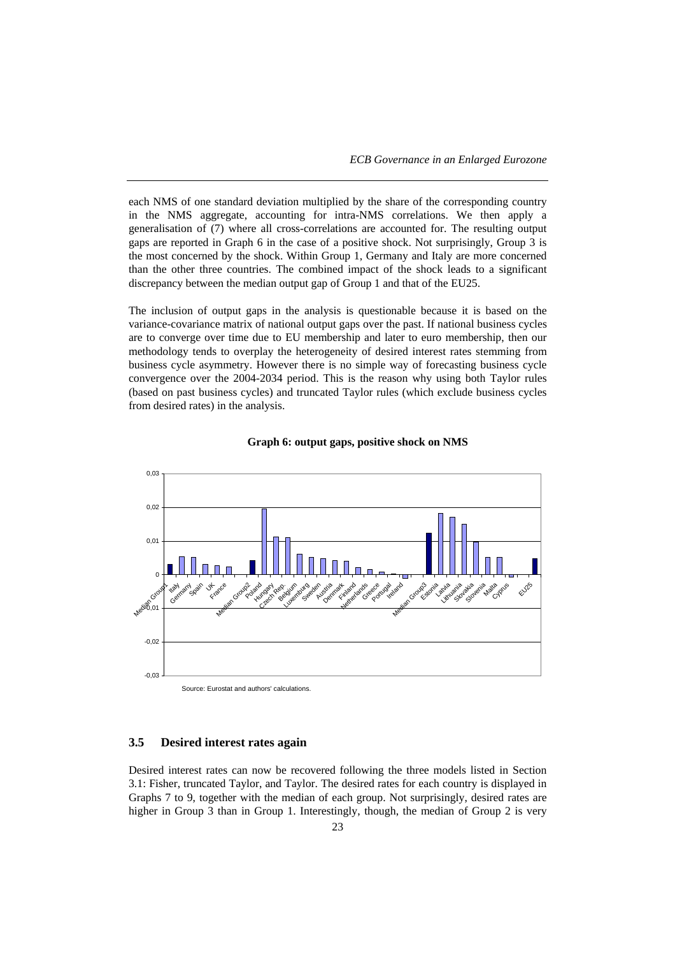each NMS of one standard deviation multiplied by the share of the corresponding country in the NMS aggregate, accounting for intra-NMS correlations. We then apply a generalisation of (7) where all cross-correlations are accounted for. The resulting output gaps are reported in Graph 6 in the case of a positive shock. Not surprisingly, Group 3 is the most concerned by the shock. Within Group 1, Germany and Italy are more concerned than the other three countries. The combined impact of the shock leads to a significant discrepancy between the median output gap of Group 1 and that of the EU25.

The inclusion of output gaps in the analysis is questionable because it is based on the variance-covariance matrix of national output gaps over the past. If national business cycles are to converge over time due to EU membership and later to euro membership, then our methodology tends to overplay the heterogeneity of desired interest rates stemming from business cycle asymmetry. However there is no simple way of forecasting business cycle convergence over the 2004-2034 period. This is the reason why using both Taylor rules (based on past business cycles) and truncated Taylor rules (which exclude business cycles from desired rates) in the analysis.





# **3.5 Desired interest rates again**

Desired interest rates can now be recovered following the three models listed in Section 3.1: Fisher, truncated Taylor, and Taylor. The desired rates for each country is displayed in Graphs 7 to 9, together with the median of each group. Not surprisingly, desired rates are higher in Group 3 than in Group 1. Interestingly, though, the median of Group 2 is very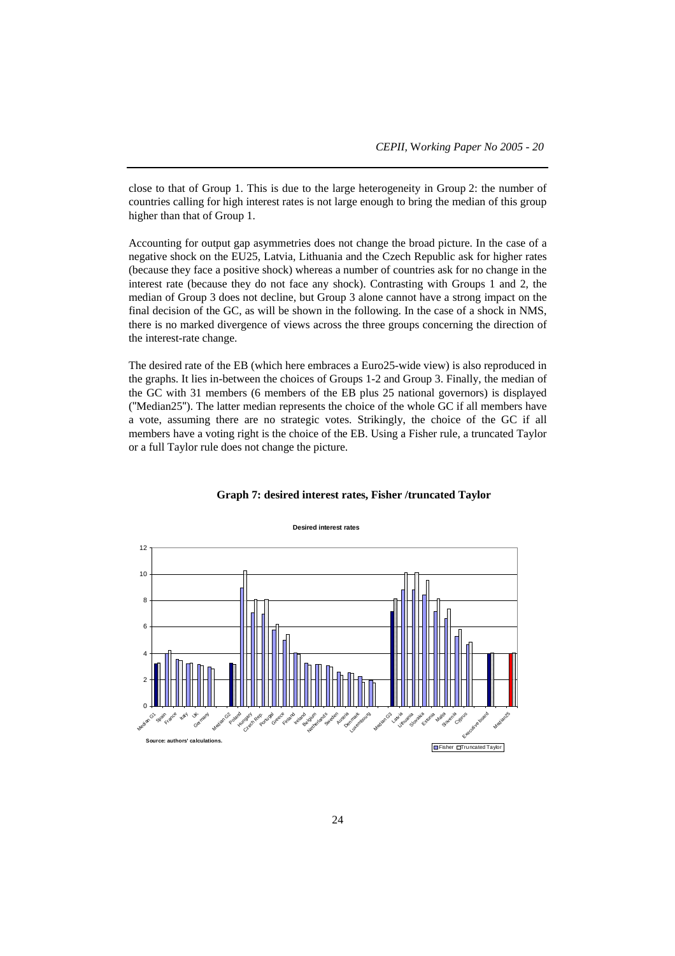close to that of Group 1. This is due to the large heterogeneity in Group 2: the number of countries calling for high interest rates is not large enough to bring the median of this group higher than that of Group 1.

Accounting for output gap asymmetries does not change the broad picture. In the case of a negative shock on the EU25, Latvia, Lithuania and the Czech Republic ask for higher rates (because they face a positive shock) whereas a number of countries ask for no change in the interest rate (because they do not face any shock). Contrasting with Groups 1 and 2, the median of Group 3 does not decline, but Group 3 alone cannot have a strong impact on the final decision of the GC, as will be shown in the following. In the case of a shock in NMS, there is no marked divergence of views across the three groups concerning the direction of the interest-rate change.

The desired rate of the EB (which here embraces a Euro25-wide view) is also reproduced in the graphs. It lies in-between the choices of Groups 1-2 and Group 3. Finally, the median of the GC with 31 members (6 members of the EB plus 25 national governors) is displayed ("Median25"). The latter median represents the choice of the whole GC if all members have a vote, assuming there are no strategic votes. Strikingly, the choice of the GC if all members have a voting right is the choice of the EB. Using a Fisher rule, a truncated Taylor or a full Taylor rule does not change the picture.



#### **Graph 7: desired interest rates, Fisher /truncated Taylor**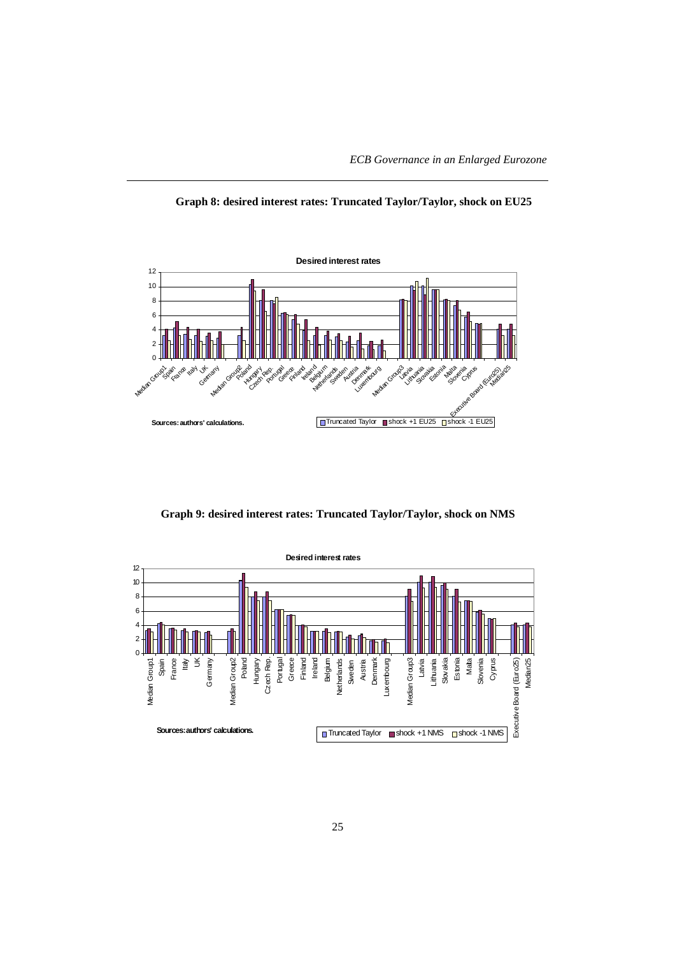



**Graph 9: desired interest rates: Truncated Taylor/Taylor, shock on NMS**

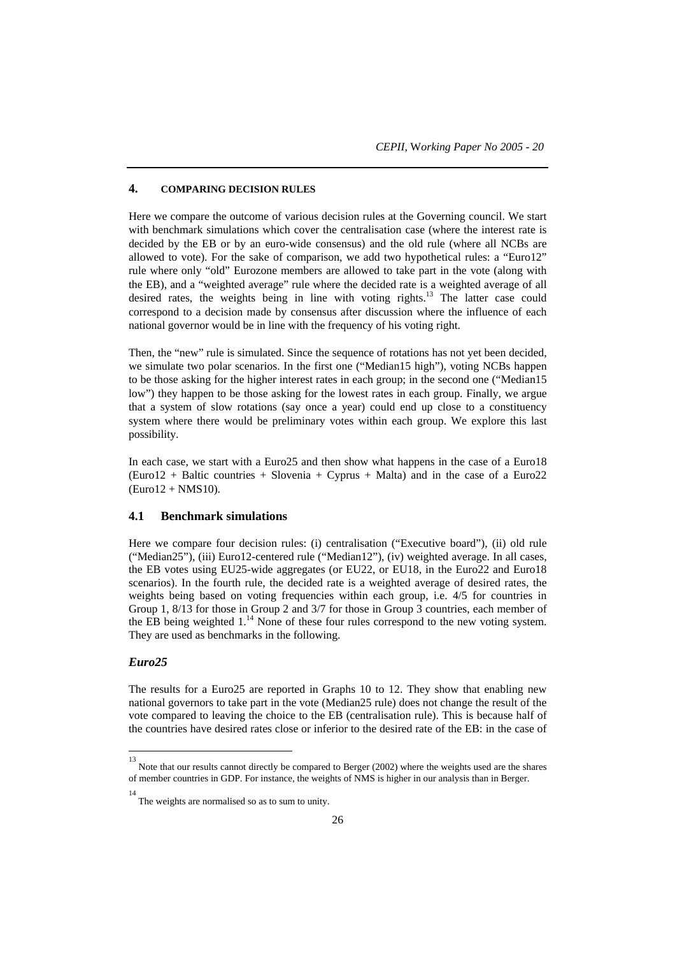# **4. COMPARING DECISION RULES**

Here we compare the outcome of various decision rules at the Governing council. We start with benchmark simulations which cover the centralisation case (where the interest rate is decided by the EB or by an euro-wide consensus) and the old rule (where all NCBs are allowed to vote). For the sake of comparison, we add two hypothetical rules: a "Euro12" rule where only "old" Eurozone members are allowed to take part in the vote (along with the EB), and a "weighted average" rule where the decided rate is a weighted average of all desired rates, the weights being in line with voting rights.13 The latter case could correspond to a decision made by consensus after discussion where the influence of each national governor would be in line with the frequency of his voting right.

Then, the "new" rule is simulated. Since the sequence of rotations has not yet been decided, we simulate two polar scenarios. In the first one ("Median15 high"), voting NCBs happen to be those asking for the higher interest rates in each group; in the second one ("Median15 low") they happen to be those asking for the lowest rates in each group. Finally, we argue that a system of slow rotations (say once a year) could end up close to a constituency system where there would be preliminary votes within each group. We explore this last possibility.

In each case, we start with a Euro25 and then show what happens in the case of a Euro18  $(Euro12 + \text{Baltic countries} + \text{Slovenia} + \text{Cyprus} + \text{Malta})$  and in the case of a  $Euro22$ (Euro12 + NMS10).

# **4.1 Benchmark simulations**

Here we compare four decision rules: (i) centralisation ("Executive board"), (ii) old rule ("Median25"), (iii) Euro12-centered rule ("Median12"), (iv) weighted average. In all cases, the EB votes using EU25-wide aggregates (or EU22, or EU18, in the Euro22 and Euro18 scenarios). In the fourth rule, the decided rate is a weighted average of desired rates, the weights being based on voting frequencies within each group, i.e. 4/5 for countries in Group 1, 8/13 for those in Group 2 and 3/7 for those in Group 3 countries, each member of the EB being weighted  $1.^{14}$  None of these four rules correspond to the new voting system. They are used as benchmarks in the following.

# *Euro25*

The results for a Euro25 are reported in Graphs 10 to 12. They show that enabling new national governors to take part in the vote (Median25 rule) does not change the result of the vote compared to leaving the choice to the EB (centralisation rule). This is because half of the countries have desired rates close or inferior to the desired rate of the EB: in the case of

 13 Note that our results cannot directly be compared to Berger (2002) where the weights used are the shares of member countries in GDP. For instance, the weights of NMS is higher in our analysis than in Berger.

<sup>14</sup> The weights are normalised so as to sum to unity.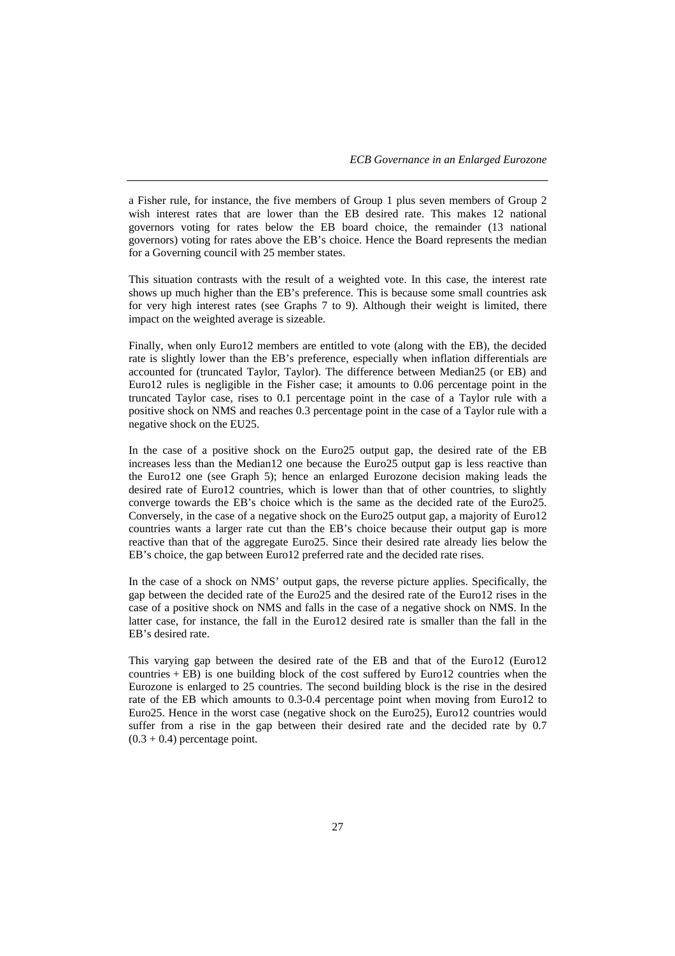a Fisher rule, for instance, the five members of Group 1 plus seven members of Group 2 wish interest rates that are lower than the EB desired rate. This makes 12 national governors voting for rates below the EB board choice, the remainder (13 national governors) voting for rates above the EB's choice. Hence the Board represents the median for a Governing council with 25 member states.

This situation contrasts with the result of a weighted vote. In this case, the interest rate shows up much higher than the EB's preference. This is because some small countries ask for very high interest rates (see Graphs 7 to 9). Although their weight is limited, there impact on the weighted average is sizeable.

Finally, when only Euro12 members are entitled to vote (along with the EB), the decided rate is slightly lower than the EB's preference, especially when inflation differentials are accounted for (truncated Taylor, Taylor). The difference between Median25 (or EB) and Euro12 rules is negligible in the Fisher case; it amounts to 0.06 percentage point in the truncated Taylor case, rises to 0.1 percentage point in the case of a Taylor rule with a positive shock on NMS and reaches 0.3 percentage point in the case of a Taylor rule with a negative shock on the EU25.

In the case of a positive shock on the Euro25 output gap, the desired rate of the EB increases less than the Median12 one because the Euro25 output gap is less reactive than the Euro12 one (see Graph 5); hence an enlarged Eurozone decision making leads the desired rate of Euro12 countries, which is lower than that of other countries, to slightly converge towards the EB's choice which is the same as the decided rate of the Euro25. Conversely, in the case of a negative shock on the Euro25 output gap, a majority of Euro12 countries wants a larger rate cut than the EB's choice because their output gap is more reactive than that of the aggregate Euro25. Since their desired rate already lies below the EB's choice, the gap between Euro12 preferred rate and the decided rate rises.

In the case of a shock on NMS' output gaps, the reverse picture applies. Specifically, the gap between the decided rate of the Euro25 and the desired rate of the Euro12 rises in the case of a positive shock on NMS and falls in the case of a negative shock on NMS. In the latter case, for instance, the fall in the Euro12 desired rate is smaller than the fall in the EB's desired rate.

This varying gap between the desired rate of the EB and that of the Euro12 (Euro12 countries  $+$  EB) is one building block of the cost suffered by Euro12 countries when the Eurozone is enlarged to 25 countries. The second building block is the rise in the desired rate of the EB which amounts to 0.3-0.4 percentage point when moving from Euro12 to Euro25. Hence in the worst case (negative shock on the Euro25), Euro12 countries would suffer from a rise in the gap between their desired rate and the decided rate by 0.7  $(0.3 + 0.4)$  percentage point.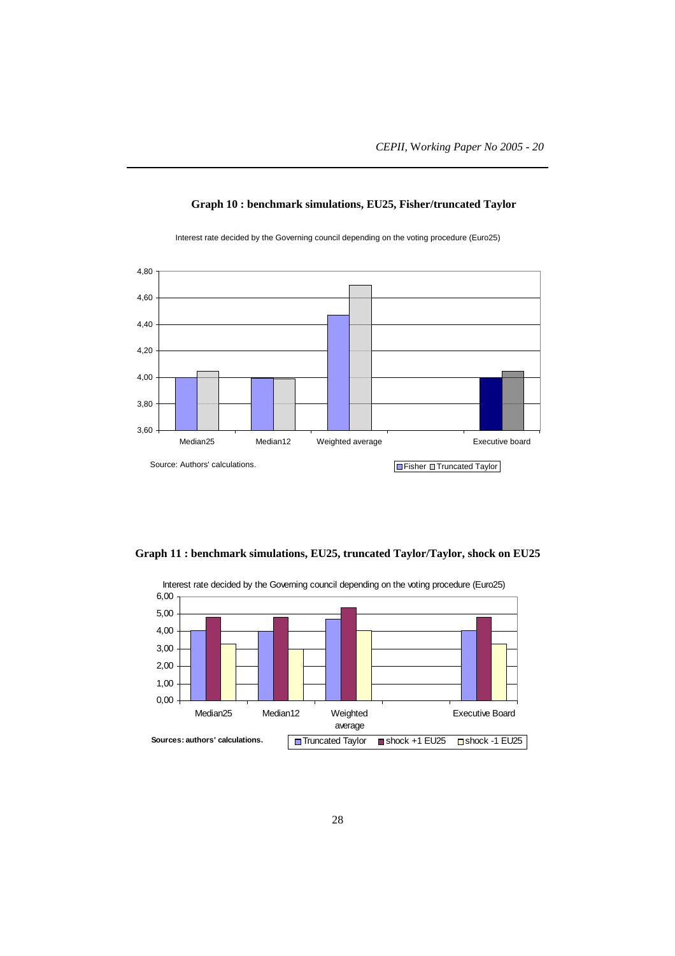

**Graph 10 : benchmark simulations, EU25, Fisher/truncated Taylor**

Interest rate decided by the Governing council depending on the voting procedure (Euro25)

**Graph 11 : benchmark simulations, EU25, truncated Taylor/Taylor, shock on EU25**

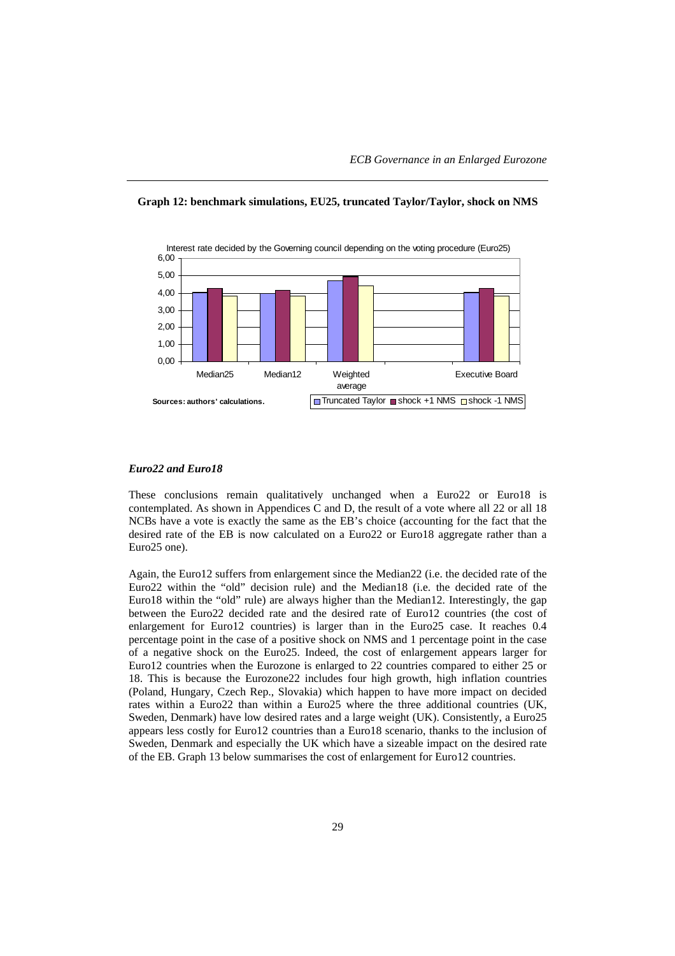

**Graph 12: benchmark simulations, EU25, truncated Taylor/Taylor, shock on NMS**

#### *Euro22 and Euro18*

These conclusions remain qualitatively unchanged when a Euro22 or Euro18 is contemplated. As shown in Appendices C and D, the result of a vote where all 22 or all 18 NCBs have a vote is exactly the same as the EB's choice (accounting for the fact that the desired rate of the EB is now calculated on a Euro22 or Euro18 aggregate rather than a Euro25 one).

Again, the Euro12 suffers from enlargement since the Median22 (i.e. the decided rate of the Euro22 within the "old" decision rule) and the Median18 (i.e. the decided rate of the Euro18 within the "old" rule) are always higher than the Median12. Interestingly, the gap between the Euro22 decided rate and the desired rate of Euro12 countries (the cost of enlargement for Euro12 countries) is larger than in the Euro25 case. It reaches 0.4 percentage point in the case of a positive shock on NMS and 1 percentage point in the case of a negative shock on the Euro25. Indeed, the cost of enlargement appears larger for Euro12 countries when the Eurozone is enlarged to 22 countries compared to either 25 or 18. This is because the Eurozone22 includes four high growth, high inflation countries (Poland, Hungary, Czech Rep., Slovakia) which happen to have more impact on decided rates within a Euro22 than within a Euro25 where the three additional countries (UK, Sweden, Denmark) have low desired rates and a large weight (UK). Consistently, a Euro25 appears less costly for Euro12 countries than a Euro18 scenario, thanks to the inclusion of Sweden, Denmark and especially the UK which have a sizeable impact on the desired rate of the EB. Graph 13 below summarises the cost of enlargement for Euro12 countries.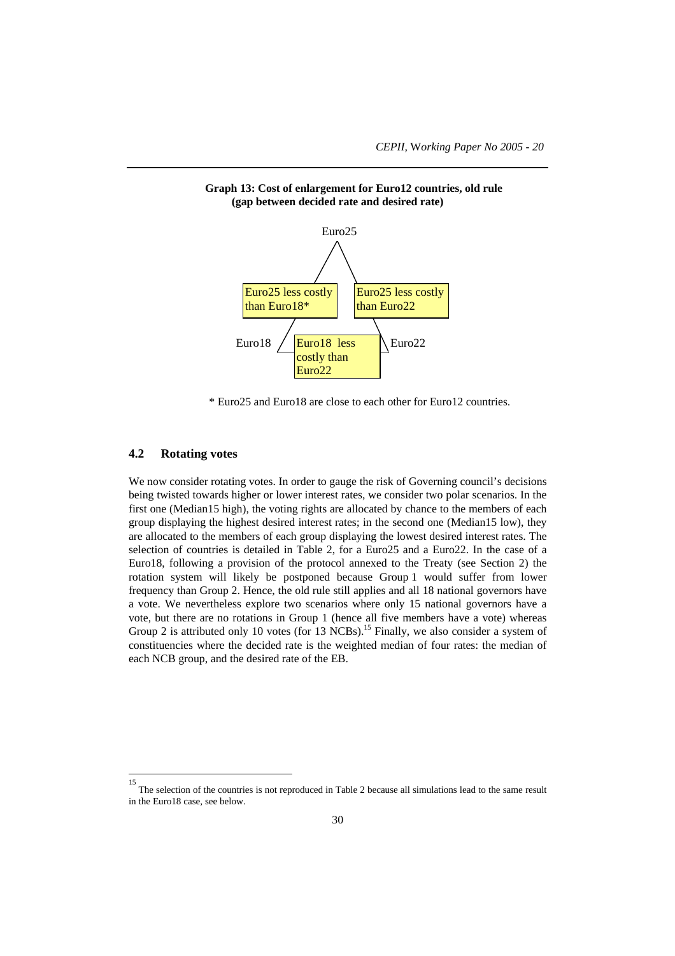

### **Graph 13: Cost of enlargement for Euro12 countries, old rule (gap between decided rate and desired rate)**

\* Euro25 and Euro18 are close to each other for Euro12 countries.

# **4.2 Rotating votes**

l

We now consider rotating votes. In order to gauge the risk of Governing council's decisions being twisted towards higher or lower interest rates, we consider two polar scenarios. In the first one (Median15 high), the voting rights are allocated by chance to the members of each group displaying the highest desired interest rates; in the second one (Median15 low), they are allocated to the members of each group displaying the lowest desired interest rates. The selection of countries is detailed in Table 2, for a Euro25 and a Euro22. In the case of a Euro18, following a provision of the protocol annexed to the Treaty (see Section 2) the rotation system will likely be postponed because Group 1 would suffer from lower frequency than Group 2. Hence, the old rule still applies and all 18 national governors have a vote. We nevertheless explore two scenarios where only 15 national governors have a vote, but there are no rotations in Group 1 (hence all five members have a vote) whereas Group 2 is attributed only 10 votes (for 13 NCBs).<sup>15</sup> Finally, we also consider a system of constituencies where the decided rate is the weighted median of four rates: the median of each NCB group, and the desired rate of the EB.

<sup>15</sup> The selection of the countries is not reproduced in Table 2 because all simulations lead to the same result in the Euro18 case, see below.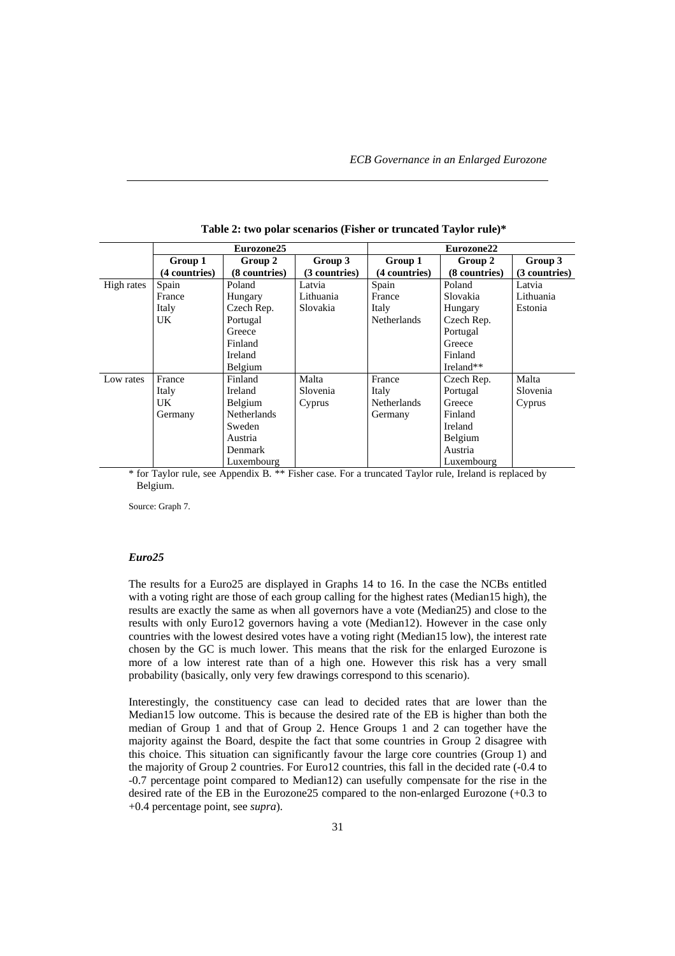|            | Eurozone25    |                    | Eurozone22    |                    |               |               |
|------------|---------------|--------------------|---------------|--------------------|---------------|---------------|
|            | Group 1       | Group 2            | Group 3       | Group 1            | Group 2       | Group 3       |
|            | (4 countries) | (8 countries)      | (3 countries) | (4 countries)      | (8 countries) | (3 countries) |
| High rates | Spain         | Poland             | Latvia        | Spain              | Poland        | Latvia        |
|            | France        | Hungary            | Lithuania     | France             | Slovakia      | Lithuania     |
|            | Italy         | Czech Rep.         | Slovakia      | Italy              | Hungary       | Estonia       |
|            | UK.           | Portugal           |               | <b>Netherlands</b> | Czech Rep.    |               |
|            |               | Greece             |               |                    | Portugal      |               |
|            |               | Finland            |               |                    | Greece        |               |
|            |               | Ireland            |               |                    | Finland       |               |
|            |               | Belgium            |               |                    | Ireland**     |               |
| Low rates  | France        | Finland            | Malta         | France             | Czech Rep.    | Malta         |
|            | Italy         | Ireland            | Slovenia      | Italy              | Portugal      | Slovenia      |
|            | UK            | Belgium            | Cyprus        | <b>Netherlands</b> | Greece        | Cyprus        |
|            | Germany       | <b>Netherlands</b> |               | Germany            | Finland       |               |
|            |               | Sweden             |               |                    | Ireland       |               |
|            |               | Austria            |               |                    | Belgium       |               |
|            |               | Denmark            |               |                    | Austria       |               |
|            |               | Luxembourg         |               |                    | Luxembourg    |               |

**Table 2: two polar scenarios (Fisher or truncated Taylor rule)\***

\* for Taylor rule, see Appendix B. \*\* Fisher case. For a truncated Taylor rule, Ireland is replaced by Belgium.

Source: Graph 7.

#### *Euro25*

The results for a Euro25 are displayed in Graphs 14 to 16. In the case the NCBs entitled with a voting right are those of each group calling for the highest rates (Median15 high), the results are exactly the same as when all governors have a vote (Median25) and close to the results with only Euro12 governors having a vote (Median12). However in the case only countries with the lowest desired votes have a voting right (Median15 low), the interest rate chosen by the GC is much lower. This means that the risk for the enlarged Eurozone is more of a low interest rate than of a high one. However this risk has a very small probability (basically, only very few drawings correspond to this scenario).

Interestingly, the constituency case can lead to decided rates that are lower than the Median15 low outcome. This is because the desired rate of the EB is higher than both the median of Group 1 and that of Group 2. Hence Groups 1 and 2 can together have the majority against the Board, despite the fact that some countries in Group 2 disagree with this choice. This situation can significantly favour the large core countries (Group 1) and the majority of Group 2 countries. For Euro12 countries, this fall in the decided rate (-0.4 to -0.7 percentage point compared to Median12) can usefully compensate for the rise in the desired rate of the EB in the Eurozone25 compared to the non-enlarged Eurozone (+0.3 to +0.4 percentage point, see *supra*).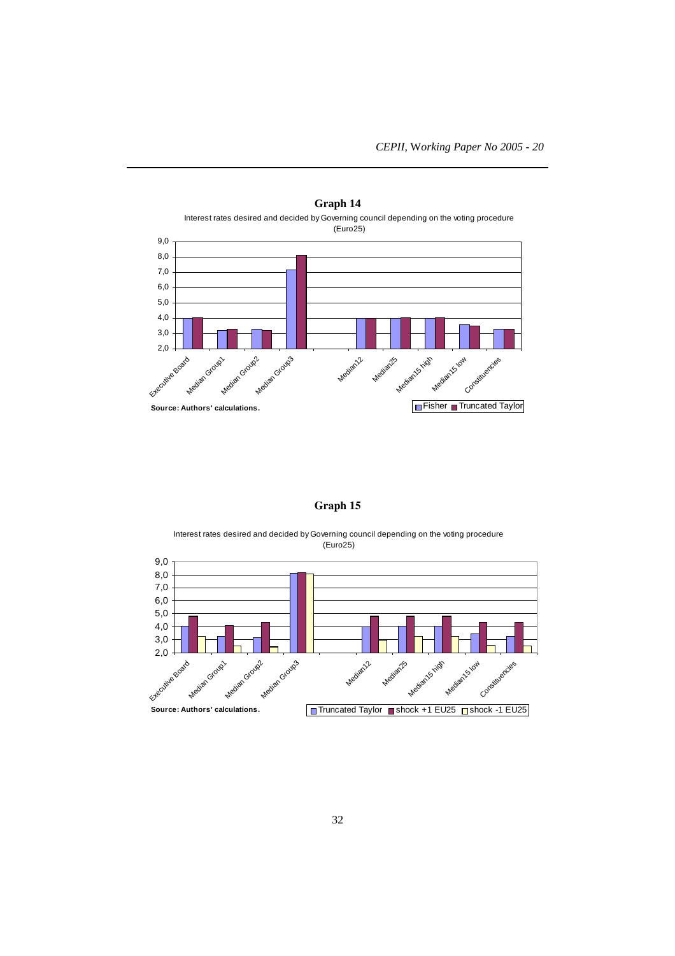



# **Graph 15**

Interest rates desired and decided by Governing council depending on the voting procedure (Euro25)

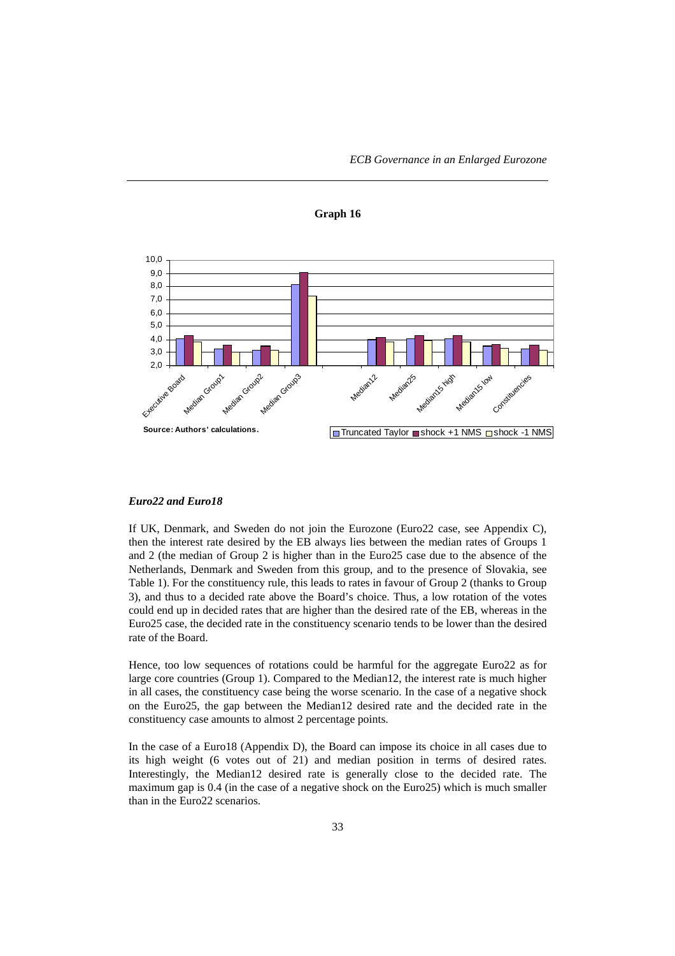



#### *Euro22 and Euro18*

If UK, Denmark, and Sweden do not join the Eurozone (Euro22 case, see Appendix C), then the interest rate desired by the EB always lies between the median rates of Groups 1 and 2 (the median of Group 2 is higher than in the Euro25 case due to the absence of the Netherlands, Denmark and Sweden from this group, and to the presence of Slovakia, see Table 1). For the constituency rule, this leads to rates in favour of Group 2 (thanks to Group 3), and thus to a decided rate above the Board's choice. Thus, a low rotation of the votes could end up in decided rates that are higher than the desired rate of the EB, whereas in the Euro25 case, the decided rate in the constituency scenario tends to be lower than the desired rate of the Board.

Hence, too low sequences of rotations could be harmful for the aggregate Euro22 as for large core countries (Group 1). Compared to the Median12, the interest rate is much higher in all cases, the constituency case being the worse scenario. In the case of a negative shock on the Euro25, the gap between the Median12 desired rate and the decided rate in the constituency case amounts to almost 2 percentage points.

In the case of a Euro18 (Appendix D), the Board can impose its choice in all cases due to its high weight (6 votes out of 21) and median position in terms of desired rates. Interestingly, the Median12 desired rate is generally close to the decided rate. The maximum gap is 0.4 (in the case of a negative shock on the Euro25) which is much smaller than in the Euro22 scenarios.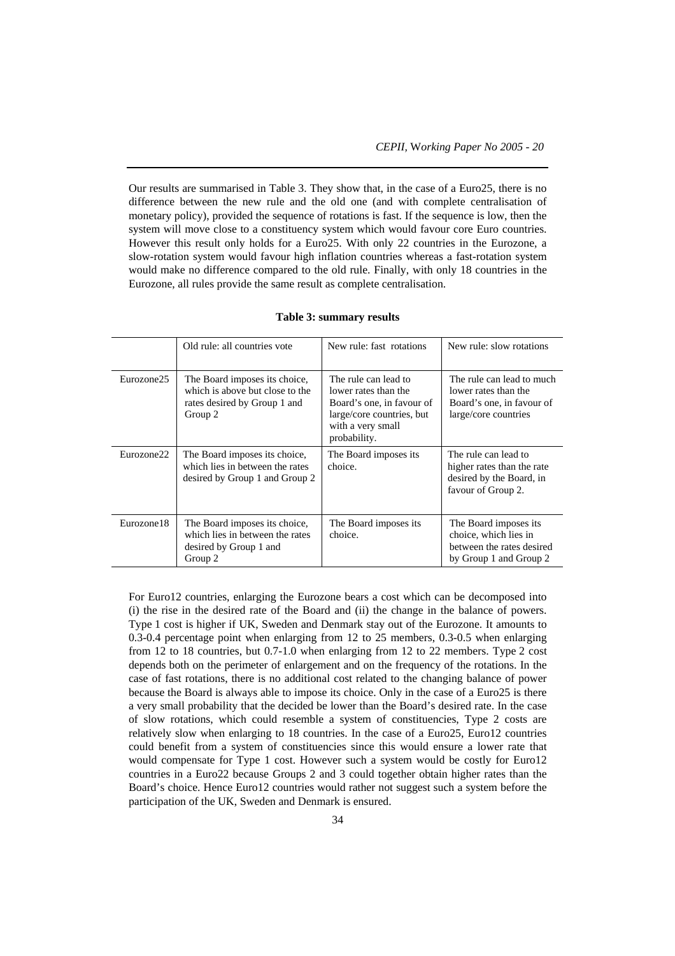Our results are summarised in Table 3. They show that, in the case of a Euro25, there is no difference between the new rule and the old one (and with complete centralisation of monetary policy), provided the sequence of rotations is fast. If the sequence is low, then the system will move close to a constituency system which would favour core Euro countries. However this result only holds for a Euro25. With only 22 countries in the Eurozone, a slow-rotation system would favour high inflation countries whereas a fast-rotation system would make no difference compared to the old rule. Finally, with only 18 countries in the Eurozone, all rules provide the same result as complete centralisation.

|            | Old rule: all countries vote                                                                                | New rule: fast rotations                                                                                                                    | New rule: slow rotations                                                                               |
|------------|-------------------------------------------------------------------------------------------------------------|---------------------------------------------------------------------------------------------------------------------------------------------|--------------------------------------------------------------------------------------------------------|
| Eurozone25 | The Board imposes its choice,<br>which is above but close to the<br>rates desired by Group 1 and<br>Group 2 | The rule can lead to<br>lower rates than the<br>Board's one, in favour of<br>large/core countries, but<br>with a very small<br>probability. | The rule can lead to much<br>lower rates than the<br>Board's one, in favour of<br>large/core countries |
| Eurozone22 | The Board imposes its choice,<br>which lies in between the rates<br>desired by Group 1 and Group 2          | The Board imposes its<br>choice.                                                                                                            | The rule can lead to<br>higher rates than the rate<br>desired by the Board, in<br>favour of Group 2.   |
| Eurozone18 | The Board imposes its choice,<br>which lies in between the rates<br>desired by Group 1 and<br>Group 2       | The Board imposes its<br>choice.                                                                                                            | The Board imposes its<br>choice, which lies in<br>between the rates desired<br>by Group 1 and Group 2  |

| Table 3: summary results |  |  |  |
|--------------------------|--|--|--|
|--------------------------|--|--|--|

For Euro12 countries, enlarging the Eurozone bears a cost which can be decomposed into (i) the rise in the desired rate of the Board and (ii) the change in the balance of powers. Type 1 cost is higher if UK, Sweden and Denmark stay out of the Eurozone. It amounts to 0.3-0.4 percentage point when enlarging from 12 to 25 members, 0.3-0.5 when enlarging from 12 to 18 countries, but 0.7-1.0 when enlarging from 12 to 22 members. Type 2 cost depends both on the perimeter of enlargement and on the frequency of the rotations. In the case of fast rotations, there is no additional cost related to the changing balance of power because the Board is always able to impose its choice. Only in the case of a Euro25 is there a very small probability that the decided be lower than the Board's desired rate. In the case of slow rotations, which could resemble a system of constituencies, Type 2 costs are relatively slow when enlarging to 18 countries. In the case of a Euro25, Euro12 countries could benefit from a system of constituencies since this would ensure a lower rate that would compensate for Type 1 cost. However such a system would be costly for Euro12 countries in a Euro22 because Groups 2 and 3 could together obtain higher rates than the Board's choice. Hence Euro12 countries would rather not suggest such a system before the participation of the UK, Sweden and Denmark is ensured.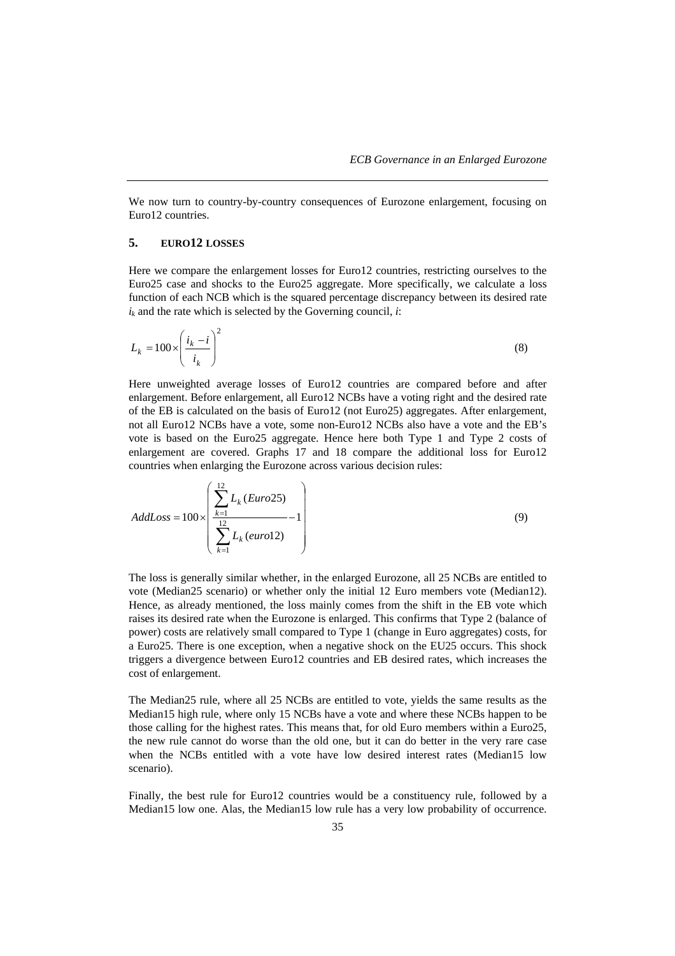We now turn to country-by-country consequences of Eurozone enlargement, focusing on Euro12 countries.

# **5. EURO12 LOSSES**

Here we compare the enlargement losses for Euro12 countries, restricting ourselves to the Euro25 case and shocks to the Euro25 aggregate. More specifically, we calculate a loss function of each NCB which is the squared percentage discrepancy between its desired rate  $i_k$  and the rate which is selected by the Governing council, *i*:

$$
L_k = 100 \times \left(\frac{i_k - i}{i_k}\right)^2 \tag{8}
$$

Here unweighted average losses of Euro12 countries are compared before and after enlargement. Before enlargement, all Euro12 NCBs have a voting right and the desired rate of the EB is calculated on the basis of Euro12 (not Euro25) aggregates. After enlargement, not all Euro12 NCBs have a vote, some non-Euro12 NCBs also have a vote and the EB's vote is based on the Euro25 aggregate. Hence here both Type 1 and Type 2 costs of enlargement are covered. Graphs 17 and 18 compare the additional loss for Euro12 countries when enlarging the Eurozone across various decision rules:

$$
AddLoss = 100 \times \left(\frac{\sum_{k=1}^{12} L_k \ (Euro25)}{\sum_{k=1}^{12} L_k \ (euro12)} - 1\right) \tag{9}
$$

The loss is generally similar whether, in the enlarged Eurozone, all 25 NCBs are entitled to vote (Median25 scenario) or whether only the initial 12 Euro members vote (Median12). Hence, as already mentioned, the loss mainly comes from the shift in the EB vote which raises its desired rate when the Eurozone is enlarged. This confirms that Type 2 (balance of power) costs are relatively small compared to Type 1 (change in Euro aggregates) costs, for a Euro25. There is one exception, when a negative shock on the EU25 occurs. This shock triggers a divergence between Euro12 countries and EB desired rates, which increases the cost of enlargement.

The Median25 rule, where all 25 NCBs are entitled to vote, yields the same results as the Median15 high rule, where only 15 NCBs have a vote and where these NCBs happen to be those calling for the highest rates. This means that, for old Euro members within a Euro25, the new rule cannot do worse than the old one, but it can do better in the very rare case when the NCBs entitled with a vote have low desired interest rates (Median15 low scenario).

Finally, the best rule for Euro12 countries would be a constituency rule, followed by a Median15 low one. Alas, the Median15 low rule has a very low probability of occurrence.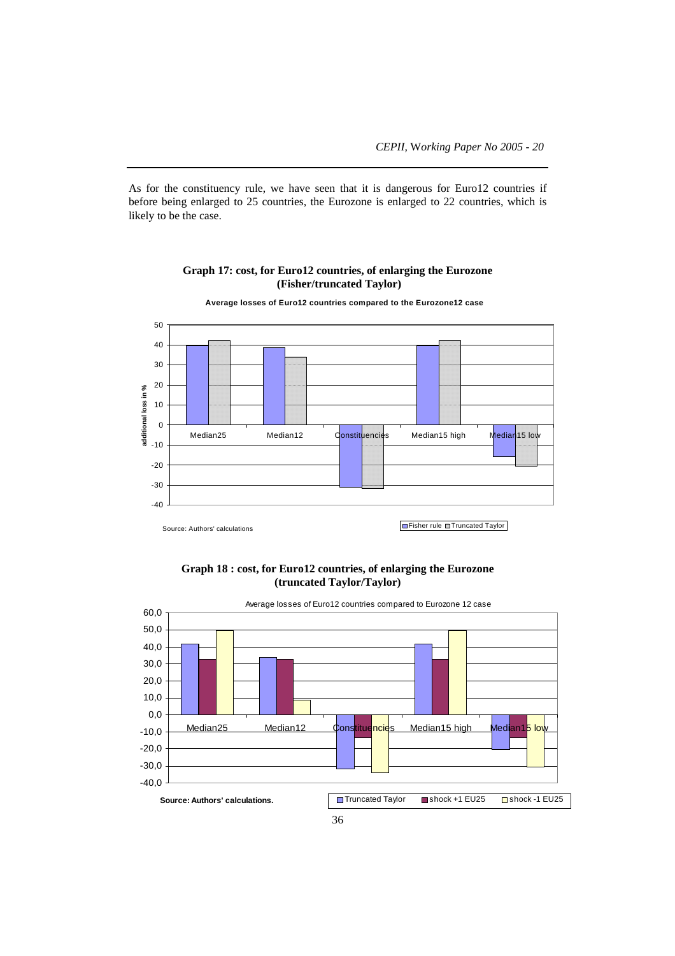As for the constituency rule, we have seen that it is dangerous for Euro12 countries if before being enlarged to 25 countries, the Eurozone is enlarged to 22 countries, which is likely to be the case.

# 50 40 30 20 additional loss in % **additional loss in %** 10  $\overline{0}$ Median25 Median12 Constituencies Median15 high Median15 low  $-10$ -20 -30 -40 Fisher rule **Truncated Taylor** Source: Authors' calculations

**Graph 17: cost, for Euro12 countries, of enlarging the Eurozone (Fisher/truncated Taylor)**

**Graph 18 : cost, for Euro12 countries, of enlarging the Eurozone (truncated Taylor/Taylor)**



**Average losses of Euro12 countries compared to the Eurozone12 case**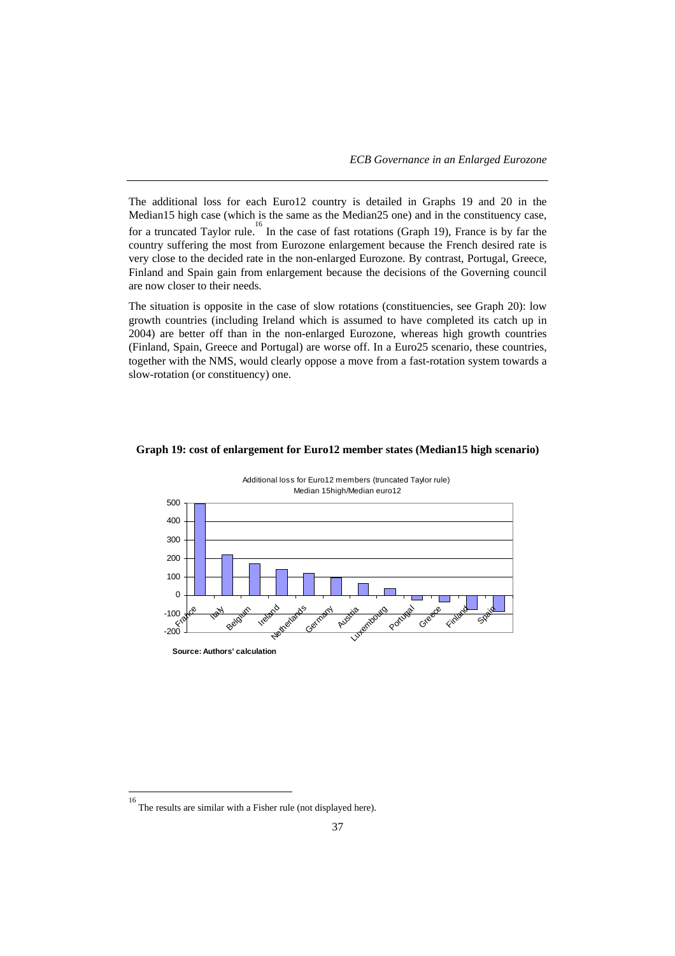The additional loss for each Euro12 country is detailed in Graphs 19 and 20 in the Median15 high case (which is the same as the Median25 one) and in the constituency case, for a truncated Taylor rule.<sup>16</sup> In the case of fast rotations (Graph 19), France is by far the country suffering the most from Eurozone enlargement because the French desired rate is very close to the decided rate in the non-enlarged Eurozone. By contrast, Portugal, Greece, Finland and Spain gain from enlargement because the decisions of the Governing council are now closer to their needs.

The situation is opposite in the case of slow rotations (constituencies, see Graph 20): low growth countries (including Ireland which is assumed to have completed its catch up in 2004) are better off than in the non-enlarged Eurozone, whereas high growth countries (Finland, Spain, Greece and Portugal) are worse off. In a Euro25 scenario, these countries, together with the NMS, would clearly oppose a move from a fast-rotation system towards a slow-rotation (or constituency) one.

#### **Graph 19: cost of enlargement for Euro12 member states (Median15 high scenario)**



Additional loss for Euro12 members (truncated Taylor rule) Median 15high/Median euro12

 16 The results are similar with a Fisher rule (not displayed here).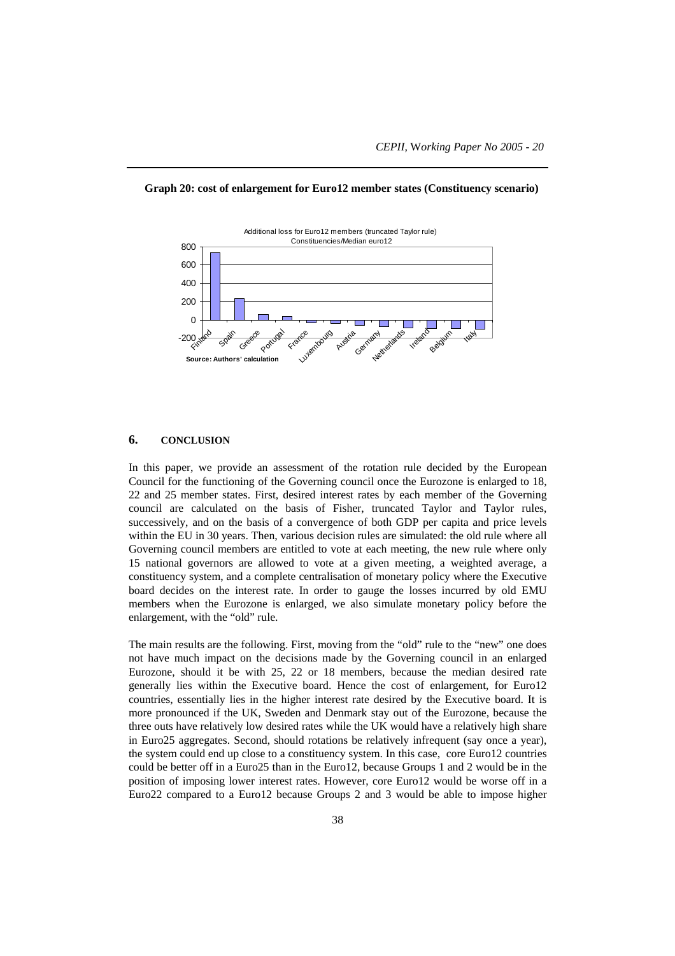

#### **Graph 20: cost of enlargement for Euro12 member states (Constituency scenario)**

## **6. CONCLUSION**

In this paper, we provide an assessment of the rotation rule decided by the European Council for the functioning of the Governing council once the Eurozone is enlarged to 18, 22 and 25 member states. First, desired interest rates by each member of the Governing council are calculated on the basis of Fisher, truncated Taylor and Taylor rules, successively, and on the basis of a convergence of both GDP per capita and price levels within the EU in 30 years. Then, various decision rules are simulated: the old rule where all Governing council members are entitled to vote at each meeting, the new rule where only 15 national governors are allowed to vote at a given meeting, a weighted average, a constituency system, and a complete centralisation of monetary policy where the Executive board decides on the interest rate. In order to gauge the losses incurred by old EMU members when the Eurozone is enlarged, we also simulate monetary policy before the enlargement, with the "old" rule.

The main results are the following. First, moving from the "old" rule to the "new" one does not have much impact on the decisions made by the Governing council in an enlarged Eurozone, should it be with 25, 22 or 18 members, because the median desired rate generally lies within the Executive board. Hence the cost of enlargement, for Euro12 countries, essentially lies in the higher interest rate desired by the Executive board. It is more pronounced if the UK, Sweden and Denmark stay out of the Eurozone, because the three outs have relatively low desired rates while the UK would have a relatively high share in Euro25 aggregates. Second, should rotations be relatively infrequent (say once a year), the system could end up close to a constituency system. In this case, core Euro12 countries could be better off in a Euro25 than in the Euro12, because Groups 1 and 2 would be in the position of imposing lower interest rates. However, core Euro12 would be worse off in a Euro22 compared to a Euro12 because Groups 2 and 3 would be able to impose higher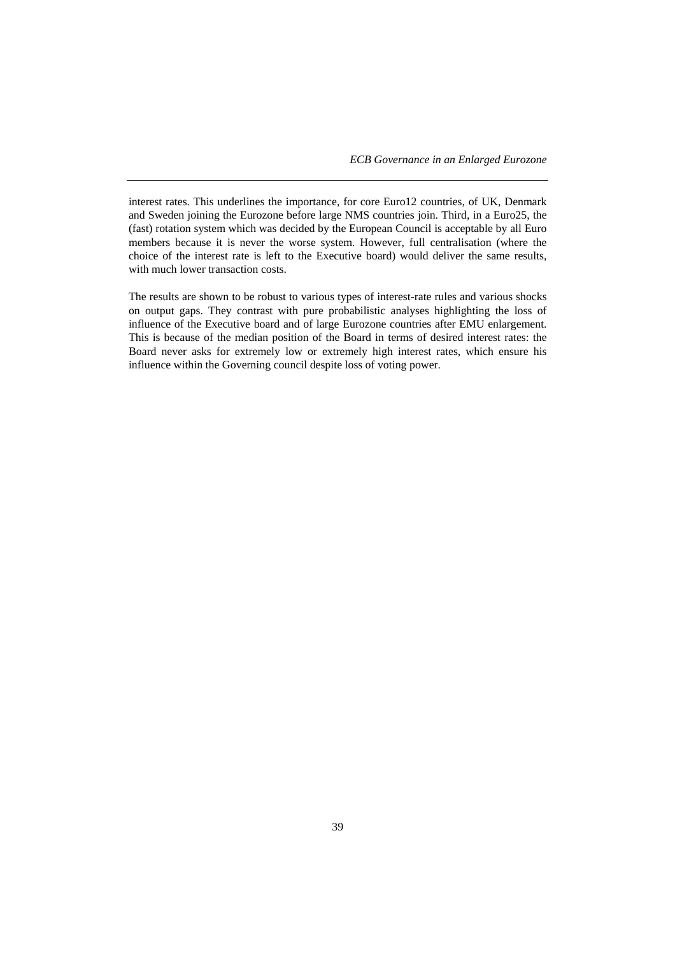interest rates. This underlines the importance, for core Euro12 countries, of UK, Denmark and Sweden joining the Eurozone before large NMS countries join. Third, in a Euro25, the (fast) rotation system which was decided by the European Council is acceptable by all Euro members because it is never the worse system. However, full centralisation (where the choice of the interest rate is left to the Executive board) would deliver the same results, with much lower transaction costs.

The results are shown to be robust to various types of interest-rate rules and various shocks on output gaps. They contrast with pure probabilistic analyses highlighting the loss of influence of the Executive board and of large Eurozone countries after EMU enlargement. This is because of the median position of the Board in terms of desired interest rates: the Board never asks for extremely low or extremely high interest rates, which ensure his influence within the Governing council despite loss of voting power.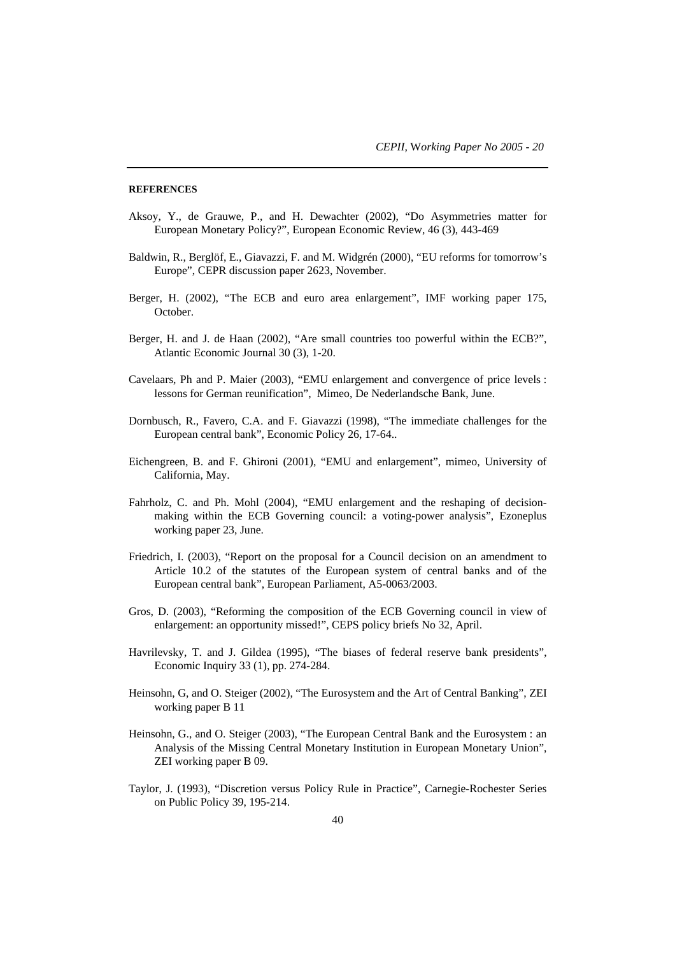#### **REFERENCES**

- Aksoy, Y., de Grauwe, P., and H. Dewachter (2002), "Do Asymmetries matter for European Monetary Policy?", European Economic Review, 46 (3), 443-469
- Baldwin, R., Berglöf, E., Giavazzi, F. and M. Widgrén (2000), "EU reforms for tomorrow's Europe", CEPR discussion paper 2623, November.
- Berger, H. (2002), "The ECB and euro area enlargement", IMF working paper 175, October.
- Berger, H. and J. de Haan (2002), "Are small countries too powerful within the ECB?", Atlantic Economic Journal 30 (3), 1-20.
- Cavelaars, Ph and P. Maier (2003), "EMU enlargement and convergence of price levels : lessons for German reunification", Mimeo, De Nederlandsche Bank, June.
- Dornbusch, R., Favero, C.A. and F. Giavazzi (1998), "The immediate challenges for the European central bank", Economic Policy 26, 17-64..
- Eichengreen, B. and F. Ghironi (2001), "EMU and enlargement", mimeo, University of California, May.
- Fahrholz, C. and Ph. Mohl (2004), "EMU enlargement and the reshaping of decisionmaking within the ECB Governing council: a voting-power analysis", Ezoneplus working paper 23, June.
- Friedrich, I. (2003), "Report on the proposal for a Council decision on an amendment to Article 10.2 of the statutes of the European system of central banks and of the European central bank", European Parliament, A5-0063/2003.
- Gros, D. (2003), "Reforming the composition of the ECB Governing council in view of enlargement: an opportunity missed!", CEPS policy briefs No 32, April.
- Havrilevsky, T. and J. Gildea (1995), "The biases of federal reserve bank presidents", Economic Inquiry 33 (1), pp. 274-284.
- Heinsohn, G, and O. Steiger (2002), "The Eurosystem and the Art of Central Banking", ZEI working paper B 11
- Heinsohn, G., and O. Steiger (2003), "The European Central Bank and the Eurosystem : an Analysis of the Missing Central Monetary Institution in European Monetary Union", ZEI working paper B 09.
- Taylor, J. (1993), "Discretion versus Policy Rule in Practice", Carnegie-Rochester Series on Public Policy 39, 195-214.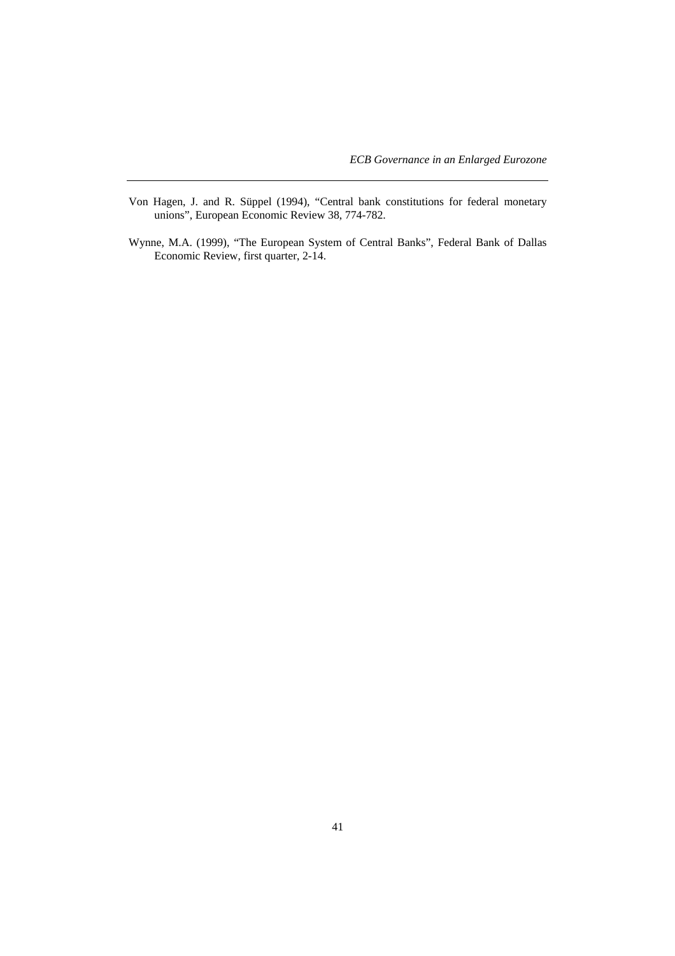- Von Hagen, J. and R. Süppel (1994), "Central bank constitutions for federal monetary unions", European Economic Review 38, 774-782.
- Wynne, M.A. (1999), "The European System of Central Banks", Federal Bank of Dallas Economic Review, first quarter, 2-14.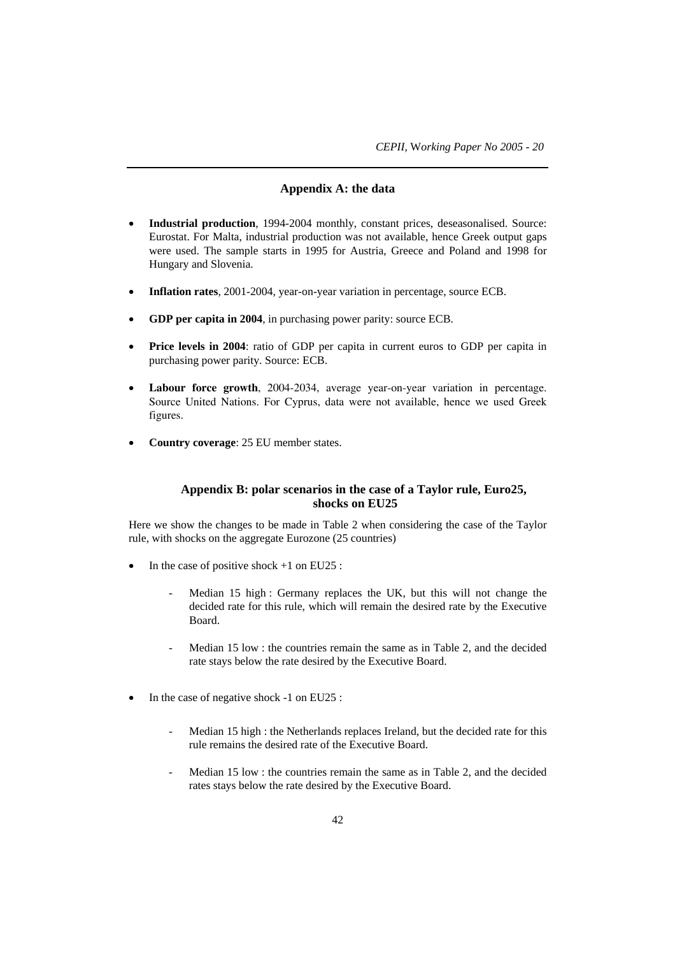# **Appendix A: the data**

- **Industrial production**, 1994-2004 monthly, constant prices, deseasonalised. Source: Eurostat. For Malta, industrial production was not available, hence Greek output gaps were used. The sample starts in 1995 for Austria, Greece and Poland and 1998 for Hungary and Slovenia.
- **Inflation rates**, 2001-2004, year-on-year variation in percentage, source ECB.
- **GDP per capita in 2004**, in purchasing power parity: source ECB.
- **Price levels in 2004**: ratio of GDP per capita in current euros to GDP per capita in purchasing power parity. Source: ECB.
- Labour force growth, 2004-2034, average year-on-year variation in percentage. Source United Nations. For Cyprus, data were not available, hence we used Greek figures.
- **Country coverage**: 25 EU member states.

# **Appendix B: polar scenarios in the case of a Taylor rule, Euro25, shocks on EU25**

Here we show the changes to be made in Table 2 when considering the case of the Taylor rule, with shocks on the aggregate Eurozone (25 countries)

- In the case of positive shock  $+1$  on EU25 :
	- Median 15 high : Germany replaces the UK, but this will not change the decided rate for this rule, which will remain the desired rate by the Executive Board.
	- Median 15 low : the countries remain the same as in Table 2, and the decided rate stays below the rate desired by the Executive Board.
- In the case of negative shock -1 on EU25 :
	- Median 15 high : the Netherlands replaces Ireland, but the decided rate for this rule remains the desired rate of the Executive Board.
	- Median 15 low : the countries remain the same as in Table 2, and the decided rates stays below the rate desired by the Executive Board.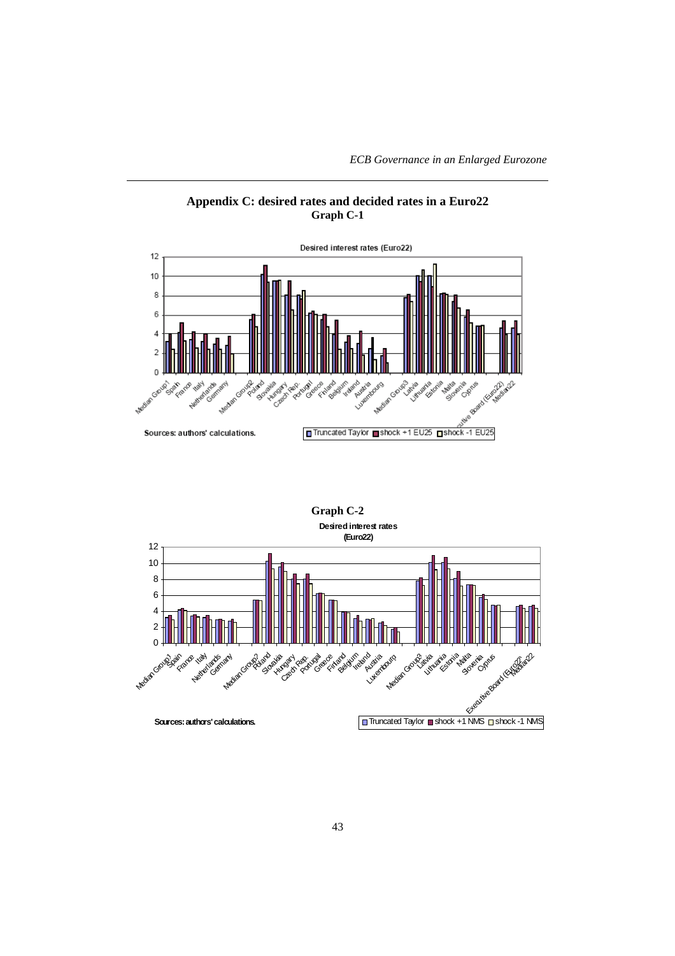*ECB Governance in an Enlarged Eurozone*





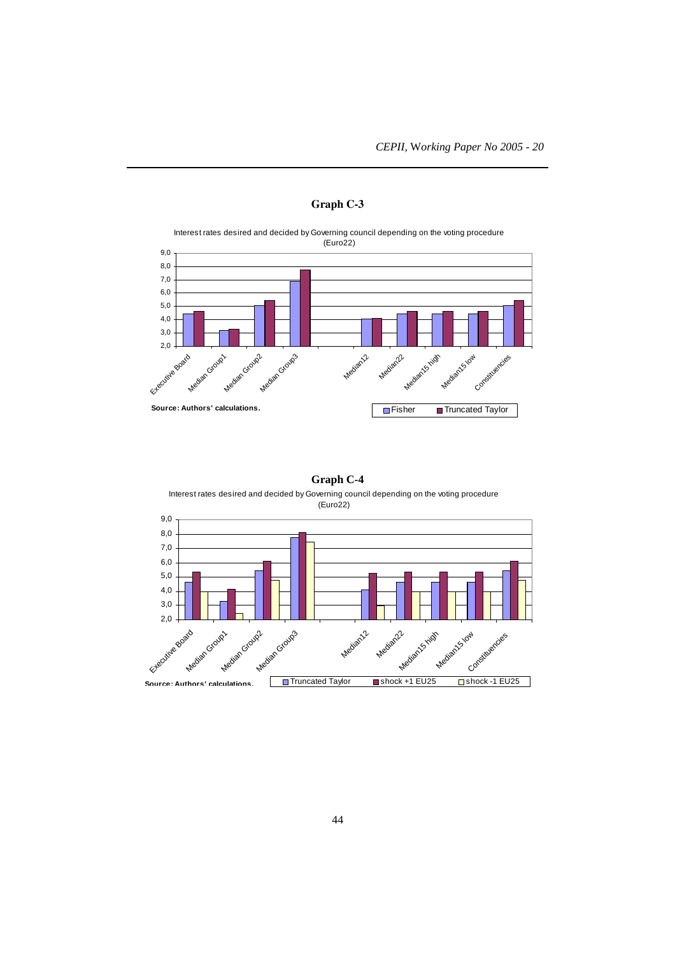

# **Graph C-3**

# **Graph C-4**

Interest rates desired and decided by Governing council depending on the voting procedure (Euro22)

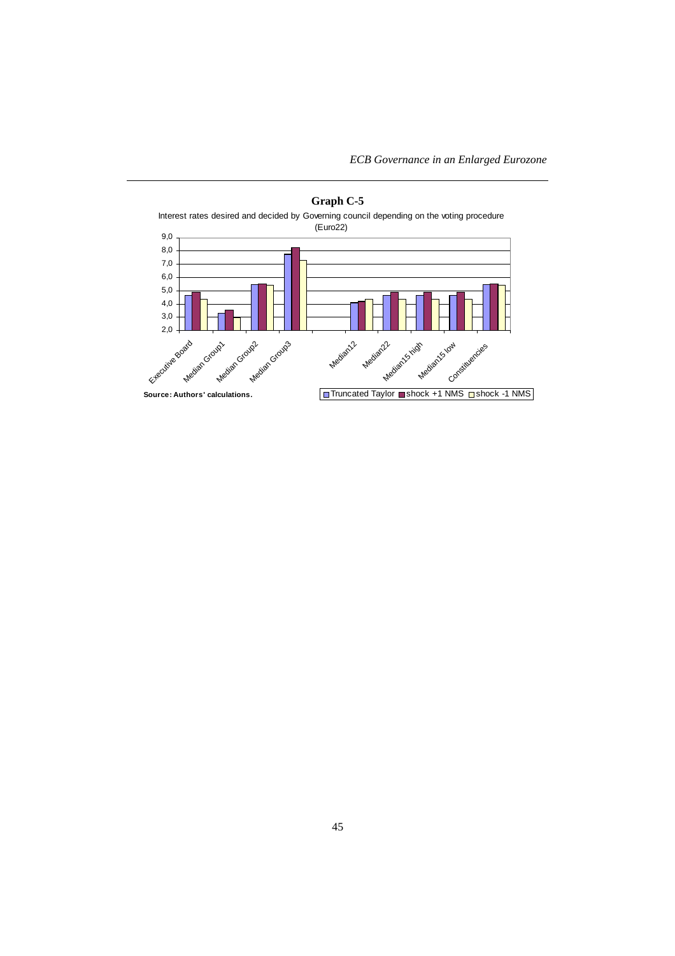*ECB Governance in an Enlarged Eurozone*



# **Graph C-5**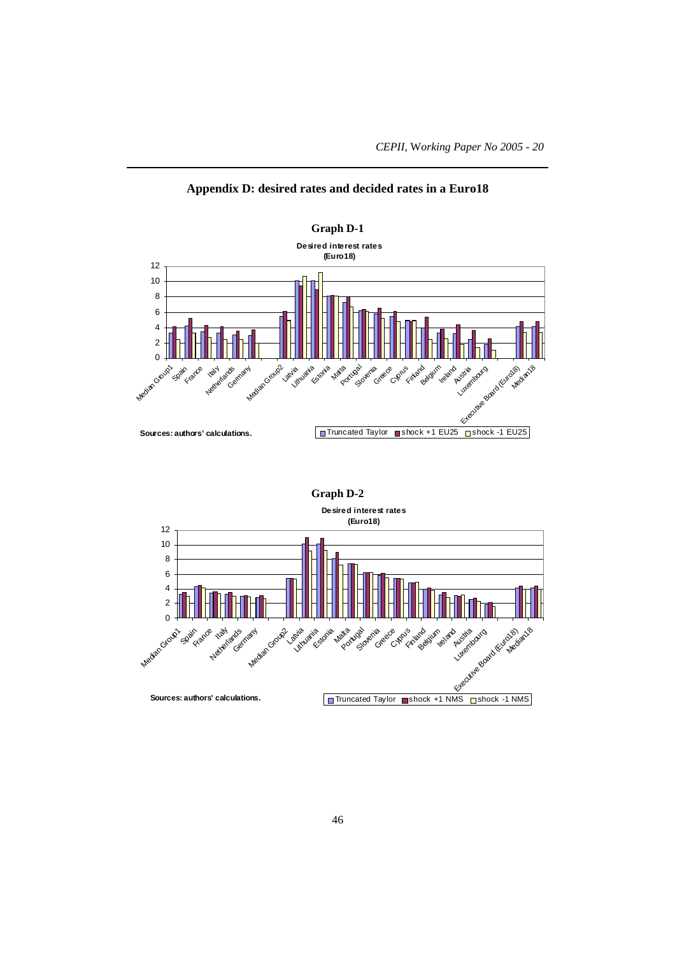

**Appendix D: desired rates and decided rates in a Euro18**

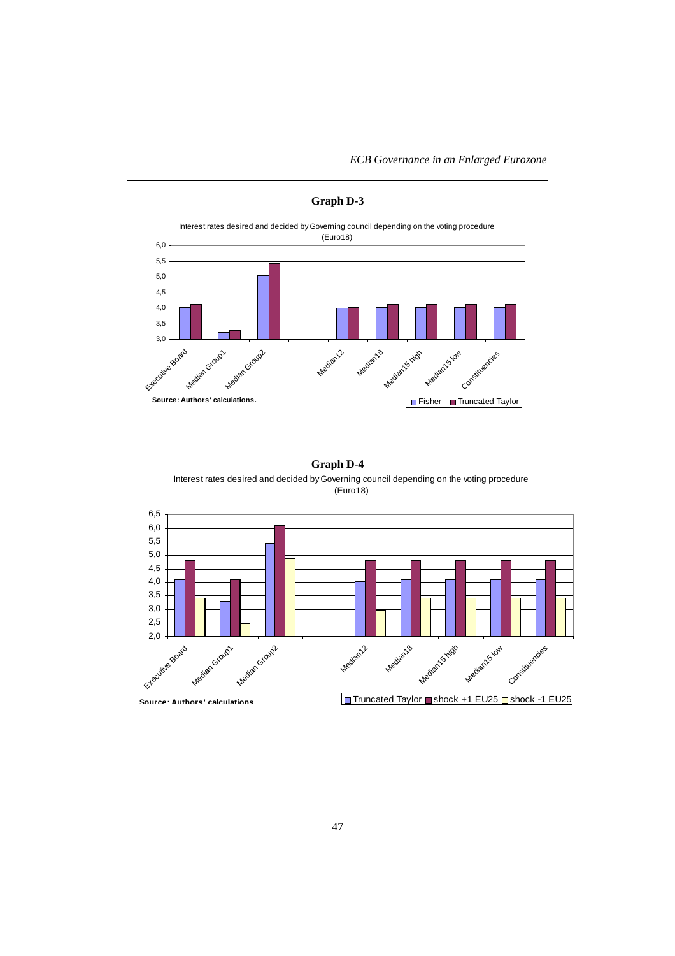*ECB Governance in an Enlarged Eurozone*



# **Graph D-3**

# **Graph D-4**

Interest rates desired and decided by Governing council depending on the voting procedure (Euro18)

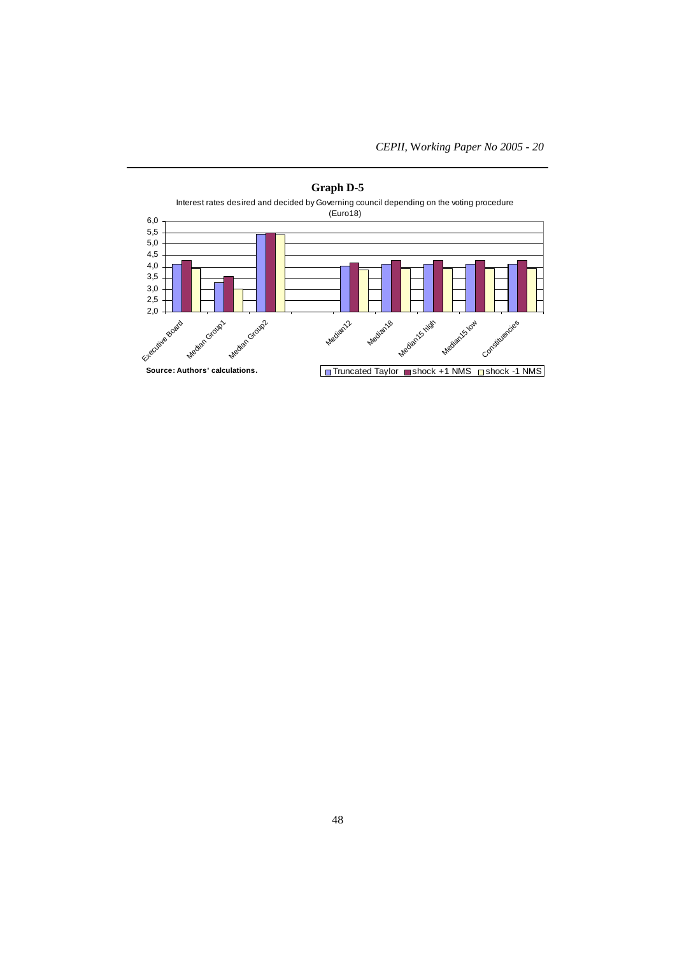

# **Graph D-5**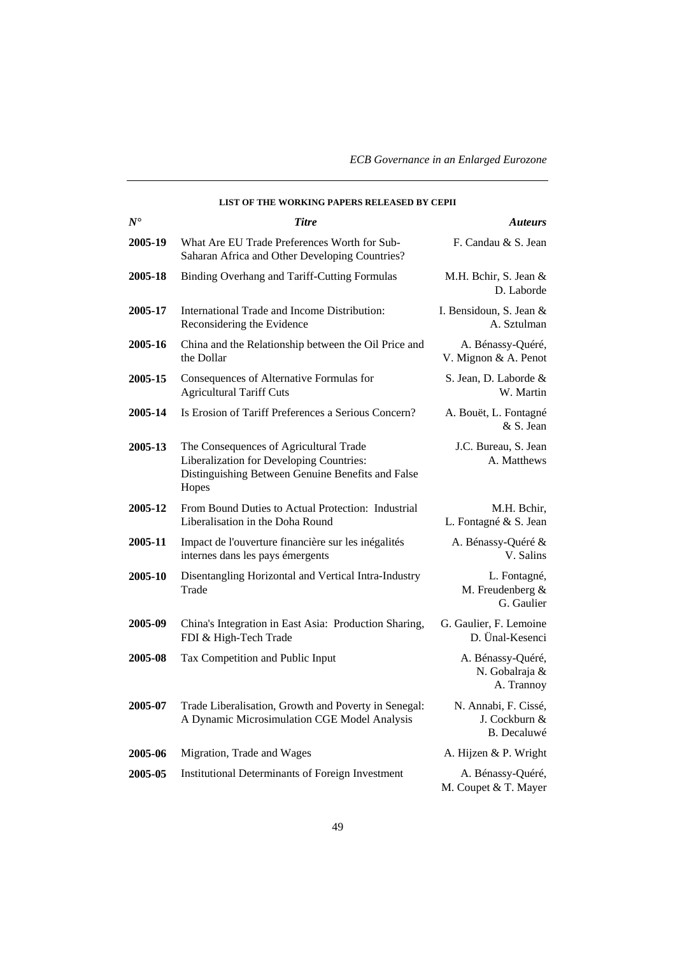*ECB Governance in an Enlarged Eurozone*

|               | LIST OF THE WORKING PAPERS RELEASED BY CEPII                                                                                                     |                                                      |
|---------------|--------------------------------------------------------------------------------------------------------------------------------------------------|------------------------------------------------------|
| $N^{\bullet}$ | <b>Titre</b>                                                                                                                                     | <i>Auteurs</i>                                       |
| 2005-19       | What Are EU Trade Preferences Worth for Sub-<br>Saharan Africa and Other Developing Countries?                                                   | F. Candau & S. Jean                                  |
| 2005-18       | Binding Overhang and Tariff-Cutting Formulas                                                                                                     | M.H. Bchir, S. Jean &<br>D. Laborde                  |
| 2005-17       | International Trade and Income Distribution:<br>Reconsidering the Evidence                                                                       | I. Bensidoun, S. Jean &<br>A. Sztulman               |
| 2005-16       | China and the Relationship between the Oil Price and<br>the Dollar                                                                               | A. Bénassy-Quéré,<br>V. Mignon & A. Penot            |
| 2005-15       | Consequences of Alternative Formulas for<br><b>Agricultural Tariff Cuts</b>                                                                      | S. Jean, D. Laborde &<br>W. Martin                   |
| 2005-14       | Is Erosion of Tariff Preferences a Serious Concern?                                                                                              | A. Bouët, L. Fontagné<br>& S. Jean                   |
| 2005-13       | The Consequences of Agricultural Trade<br>Liberalization for Developing Countries:<br>Distinguishing Between Genuine Benefits and False<br>Hopes | J.C. Bureau, S. Jean<br>A. Matthews                  |
| 2005-12       | From Bound Duties to Actual Protection: Industrial<br>Liberalisation in the Doha Round                                                           | M.H. Bchir,<br>L. Fontagné & S. Jean                 |
| 2005-11       | Impact de l'ouverture financière sur les inégalités<br>internes dans les pays émergents                                                          | A. Bénassy-Quéré &<br>V. Salins                      |
| 2005-10       | Disentangling Horizontal and Vertical Intra-Industry<br>Trade                                                                                    | L. Fontagné,<br>M. Freudenberg &<br>G. Gaulier       |
| 2005-09       | China's Integration in East Asia: Production Sharing,<br>FDI & High-Tech Trade                                                                   | G. Gaulier, F. Lemoine<br>D. Ünal-Kesenci            |
| 2005-08       | Tax Competition and Public Input                                                                                                                 | A. Bénassy-Quéré,<br>N. Gobalraja &<br>A. Trannoy    |
| 2005-07       | Trade Liberalisation, Growth and Poverty in Senegal:<br>A Dynamic Microsimulation CGE Model Analysis                                             | N. Annabi, F. Cissé,<br>J. Cockburn &<br>B. Decaluwé |
| 2005-06       | Migration, Trade and Wages                                                                                                                       | A. Hijzen & P. Wright                                |
| 2005-05       | <b>Institutional Determinants of Foreign Investment</b>                                                                                          | A. Bénassy-Quéré,<br>M. Coupet & T. Mayer            |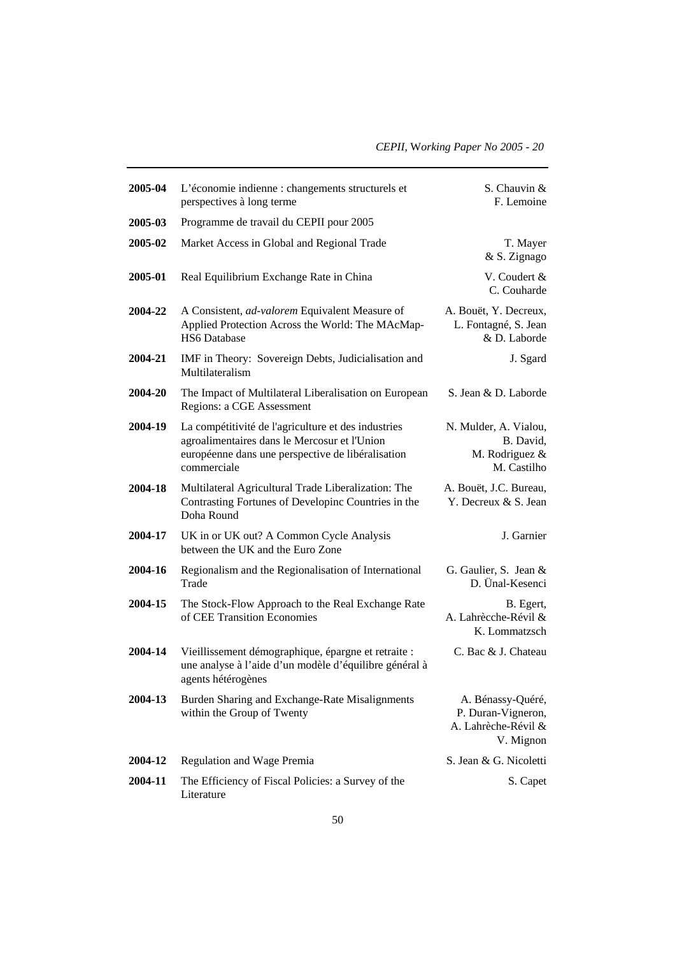| 2005-04 | L'économie indienne : changements structurels et<br>perspectives à long terme                                                                                           | S. Chauvin &<br>F. Lemoine                                                  |
|---------|-------------------------------------------------------------------------------------------------------------------------------------------------------------------------|-----------------------------------------------------------------------------|
| 2005-03 | Programme de travail du CEPII pour 2005                                                                                                                                 |                                                                             |
| 2005-02 | Market Access in Global and Regional Trade                                                                                                                              | T. Mayer<br>& S. Zignago                                                    |
| 2005-01 | Real Equilibrium Exchange Rate in China                                                                                                                                 | V. Coudert &<br>C. Couharde                                                 |
| 2004-22 | A Consistent, <i>ad-valorem</i> Equivalent Measure of<br>Applied Protection Across the World: The MAcMap-<br><b>HS6</b> Database                                        | A. Bouët, Y. Decreux,<br>L. Fontagné, S. Jean<br>& D. Laborde               |
| 2004-21 | IMF in Theory: Sovereign Debts, Judicialisation and<br>Multilateralism                                                                                                  | J. Sgard                                                                    |
| 2004-20 | The Impact of Multilateral Liberalisation on European<br>Regions: a CGE Assessment                                                                                      | S. Jean & D. Laborde                                                        |
| 2004-19 | La compétitivité de l'agriculture et des industries<br>agroalimentaires dans le Mercosur et l'Union<br>européenne dans une perspective de libéralisation<br>commerciale | N. Mulder, A. Vialou,<br>B. David,<br>M. Rodriguez &<br>M. Castilho         |
| 2004-18 | Multilateral Agricultural Trade Liberalization: The<br>Contrasting Fortunes of Developinc Countries in the<br>Doha Round                                                | A. Bouët, J.C. Bureau,<br>Y. Decreux & S. Jean                              |
| 2004-17 | UK in or UK out? A Common Cycle Analysis<br>between the UK and the Euro Zone                                                                                            | J. Garnier                                                                  |
| 2004-16 | Regionalism and the Regionalisation of International<br>Trade                                                                                                           | G. Gaulier, S. Jean &<br>D. Ünal-Kesenci                                    |
| 2004-15 | The Stock-Flow Approach to the Real Exchange Rate<br>of CEE Transition Economies                                                                                        | B. Egert,<br>A. Lahrècche-Révil &<br>K. Lommatzsch                          |
| 2004-14 | Vieillissement démographique, épargne et retraite :<br>une analyse à l'aide d'un modèle d'équilibre général à<br>agents hétérogènes                                     | C. Bac & J. Chateau                                                         |
| 2004-13 | Burden Sharing and Exchange-Rate Misalignments<br>within the Group of Twenty                                                                                            | A. Bénassy-Quéré,<br>P. Duran-Vigneron,<br>A. Lahrèche-Révil &<br>V. Mignon |
| 2004-12 | Regulation and Wage Premia                                                                                                                                              | S. Jean & G. Nicoletti                                                      |
| 2004-11 | The Efficiency of Fiscal Policies: a Survey of the<br>Literature                                                                                                        | S. Capet                                                                    |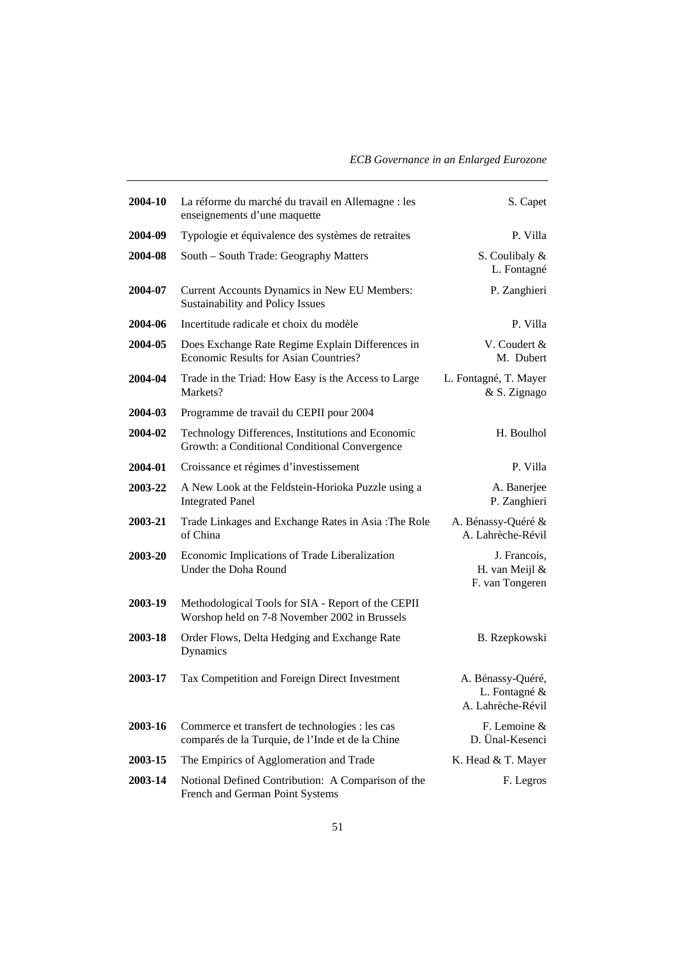| 2004-10 | La réforme du marché du travail en Allemagne : les<br>enseignements d'une maquette                  | S. Capet                                                |
|---------|-----------------------------------------------------------------------------------------------------|---------------------------------------------------------|
| 2004-09 | Typologie et équivalence des systèmes de retraites                                                  | P. Villa                                                |
| 2004-08 | South – South Trade: Geography Matters                                                              | S. Coulibaly &<br>L. Fontagné                           |
| 2004-07 | Current Accounts Dynamics in New EU Members:<br>Sustainability and Policy Issues                    | P. Zanghieri                                            |
| 2004-06 | Incertitude radicale et choix du modèle                                                             | P. Villa                                                |
| 2004-05 | Does Exchange Rate Regime Explain Differences in<br>Economic Results for Asian Countries?           | V. Coudert &<br>M. Dubert                               |
| 2004-04 | Trade in the Triad: How Easy is the Access to Large<br>Markets?                                     | L. Fontagné, T. Mayer<br>& S. Zignago                   |
| 2004-03 | Programme de travail du CEPII pour 2004                                                             |                                                         |
| 2004-02 | Technology Differences, Institutions and Economic<br>Growth: a Conditional Conditional Convergence  | H. Boulhol                                              |
| 2004-01 | Croissance et régimes d'investissement                                                              | P. Villa                                                |
| 2003-22 | A New Look at the Feldstein-Horioka Puzzle using a<br><b>Integrated Panel</b>                       | A. Banerjee<br>P. Zanghieri                             |
| 2003-21 | Trade Linkages and Exchange Rates in Asia: The Role<br>of China                                     | A. Bénassy-Quéré &<br>A. Lahrèche-Révil                 |
| 2003-20 | Economic Implications of Trade Liberalization<br>Under the Doha Round                               | J. Francois,<br>H. van Meijl &<br>F. van Tongeren       |
| 2003-19 | Methodological Tools for SIA - Report of the CEPII<br>Worshop held on 7-8 November 2002 in Brussels |                                                         |
| 2003-18 | Order Flows, Delta Hedging and Exchange Rate<br>Dynamics                                            | B. Rzepkowski                                           |
| 2003-17 | Tax Competition and Foreign Direct Investment                                                       | A. Bénassy-Quéré,<br>L. Fontagné &<br>A. Lahrèche-Révil |
| 2003-16 | Commerce et transfert de technologies : les cas<br>comparés de la Turquie, de l'Inde et de la Chine | F. Lemoine &<br>D. Ünal-Kesenci                         |
| 2003-15 | The Empirics of Agglomeration and Trade                                                             | K. Head & T. Mayer                                      |
| 2003-14 | Notional Defined Contribution: A Comparison of the<br>French and German Point Systems               | F. Legros                                               |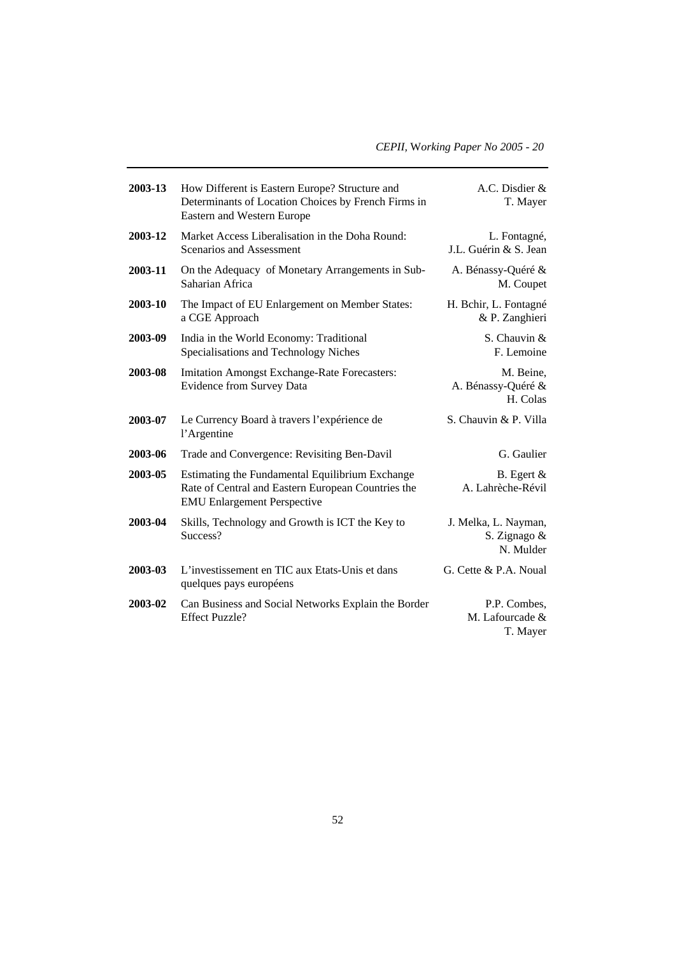| 2003-13 | How Different is Eastern Europe? Structure and<br>Determinants of Location Choices by French Firms in<br>Eastern and Western Europe         | A.C. Disdier &<br>T. Mayer                        |
|---------|---------------------------------------------------------------------------------------------------------------------------------------------|---------------------------------------------------|
| 2003-12 | Market Access Liberalisation in the Doha Round:<br>Scenarios and Assessment                                                                 | L. Fontagné,<br>J.L. Guérin & S. Jean             |
| 2003-11 | On the Adequacy of Monetary Arrangements in Sub-<br>Saharian Africa                                                                         | A. Bénassy-Quéré &<br>M. Coupet                   |
| 2003-10 | The Impact of EU Enlargement on Member States:<br>a CGE Approach                                                                            | H. Bchir, L. Fontagné<br>& P. Zanghieri           |
| 2003-09 | India in the World Economy: Traditional<br>Specialisations and Technology Niches                                                            | S. Chauvin &<br>F. Lemoine                        |
| 2003-08 | <b>Imitation Amongst Exchange-Rate Forecasters:</b><br><b>Evidence from Survey Data</b>                                                     | M. Beine,<br>A. Bénassy-Quéré &<br>H. Colas       |
| 2003-07 | Le Currency Board à travers l'expérience de<br>l'Argentine                                                                                  | S. Chauvin & P. Villa                             |
| 2003-06 | Trade and Convergence: Revisiting Ben-Davil                                                                                                 | G. Gaulier                                        |
| 2003-05 | Estimating the Fundamental Equilibrium Exchange<br>Rate of Central and Eastern European Countries the<br><b>EMU Enlargement Perspective</b> | B. Egert $\&$<br>A. Lahrèche-Révil                |
| 2003-04 | Skills, Technology and Growth is ICT the Key to<br>Success?                                                                                 | J. Melka, L. Nayman,<br>S. Zignago &<br>N. Mulder |
| 2003-03 | L'investissement en TIC aux Etats-Unis et dans<br>quelques pays européens                                                                   | G. Cette & P.A. Noual                             |
| 2003-02 | Can Business and Social Networks Explain the Border<br><b>Effect Puzzle?</b>                                                                | P.P. Combes.<br>M. Lafourcade &<br>T. Mayer       |